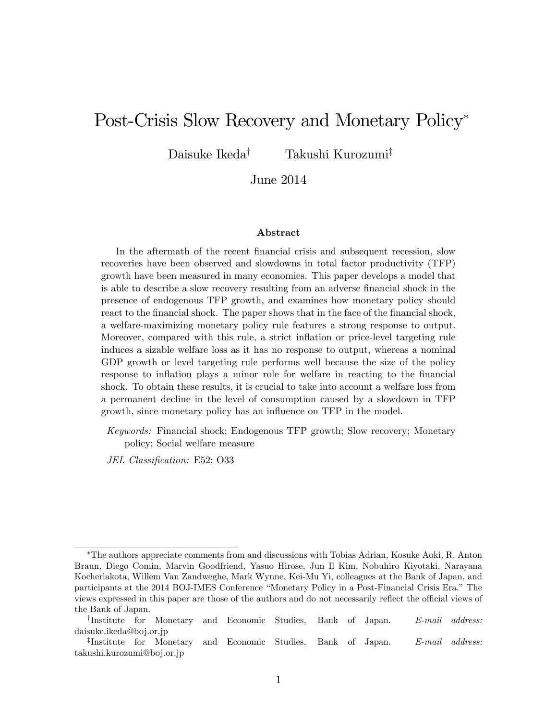# Post-Crisis Slow Recovery and Monetary Policy

Daisuke Ikeda<sup>†</sup> Takushi Kurozumi<sup>‡</sup>

June 2014

#### Abstract

In the aftermath of the recent financial crisis and subsequent recession, slow recoveries have been observed and slowdowns in total factor productivity (TFP) growth have been measured in many economies. This paper develops a model that is able to describe a slow recovery resulting from an adverse financial shock in the presence of endogenous TFP growth, and examines how monetary policy should react to the financial shock. The paper shows that in the face of the financial shock, a welfare-maximizing monetary policy rule features a strong response to output. Moreover, compared with this rule, a strict inflation or price-level targeting rule induces a sizable welfare loss as it has no response to output, whereas a nominal GDP growth or level targeting rule performs well because the size of the policy response to inflation plays a minor role for welfare in reacting to the financial shock. To obtain these results, it is crucial to take into account a welfare loss from a permanent decline in the level of consumption caused by a slowdown in TFP growth, since monetary policy has an influence on TFP in the model.

Keywords: Financial shock; Endogenous TFP growth; Slow recovery; Monetary policy; Social welfare measure

JEL Classification: E52; O33

The authors appreciate comments from and discussions with Tobias Adrian, Kosuke Aoki, R. Anton Braun, Diego Comin, Marvin Goodfriend, Yasuo Hirose, Jun Il Kim, Nobuhiro Kiyotaki, Narayana Kocherlakota, Willem Van Zandweghe, Mark Wynne, Kei-Mu Yi, colleagues at the Bank of Japan, and participants at the 2014 BOJ-IMES Conference "Monetary Policy in a Post-Financial Crisis Era." The views expressed in this paper are those of the authors and do not necessarily reflect the official views of the Bank of Japan.

<sup>&</sup>lt;sup>†</sup>Institute for Monetary and Economic Studies, Bank of Japan. E-mail address: daisuke.ikeda@boj.or.jp

<sup>&</sup>lt;sup>‡</sup>Institute for Monetary and Economic Studies, Bank of Japan. E-mail address: takushi.kurozumi@boj.or.jp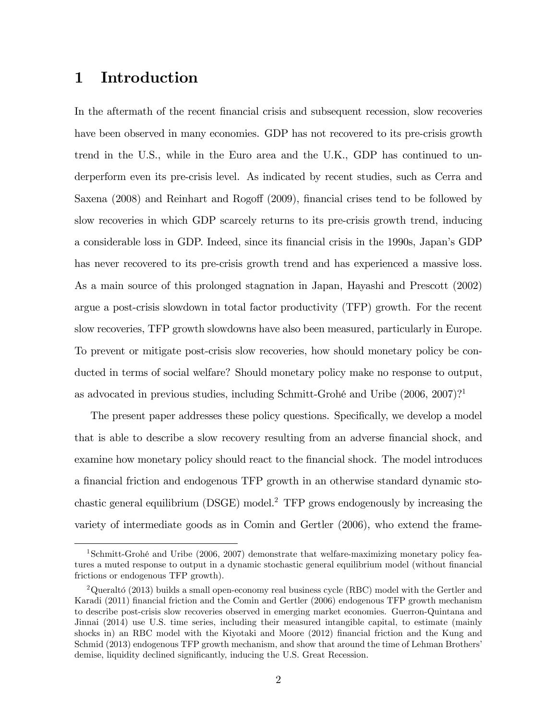## 1 Introduction

In the aftermath of the recent financial crisis and subsequent recession, slow recoveries have been observed in many economies. GDP has not recovered to its pre-crisis growth trend in the U.S., while in the Euro area and the U.K., GDP has continued to underperform even its pre-crisis level. As indicated by recent studies, such as Cerra and Saxena (2008) and Reinhart and Rogoff (2009), financial crises tend to be followed by slow recoveries in which GDP scarcely returns to its pre-crisis growth trend, inducing a considerable loss in GDP. Indeed, since its Önancial crisis in the 1990s, Japanís GDP has never recovered to its pre-crisis growth trend and has experienced a massive loss. As a main source of this prolonged stagnation in Japan, Hayashi and Prescott (2002) argue a post-crisis slowdown in total factor productivity (TFP) growth. For the recent slow recoveries, TFP growth slowdowns have also been measured, particularly in Europe. To prevent or mitigate post-crisis slow recoveries, how should monetary policy be conducted in terms of social welfare? Should monetary policy make no response to output, as advocated in previous studies, including Schmitt-Grohé and Uribe  $(2006, 2007)$ ?

The present paper addresses these policy questions. Specifically, we develop a model that is able to describe a slow recovery resulting from an adverse financial shock, and examine how monetary policy should react to the financial shock. The model introduces a financial friction and endogenous TFP growth in an otherwise standard dynamic stochastic general equilibrium  $(DSGE)$  model.<sup>2</sup> TFP grows endogenously by increasing the variety of intermediate goods as in Comin and Gertler (2006), who extend the frame-

<sup>&</sup>lt;sup>1</sup>Schmitt-Grohé and Uribe (2006, 2007) demonstrate that welfare-maximizing monetary policy features a muted response to output in a dynamic stochastic general equilibrium model (without financial frictions or endogenous TFP growth).

<sup>&</sup>lt;sup>2</sup>Queraltó (2013) builds a small open-economy real business cycle (RBC) model with the Gertler and Karadi (2011) Önancial friction and the Comin and Gertler (2006) endogenous TFP growth mechanism to describe post-crisis slow recoveries observed in emerging market economies. Guerron-Quintana and Jinnai (2014) use U.S. time series, including their measured intangible capital, to estimate (mainly shocks in) an RBC model with the Kiyotaki and Moore (2012) financial friction and the Kung and Schmid (2013) endogenous TFP growth mechanism, and show that around the time of Lehman Brothers' demise, liquidity declined significantly, inducing the U.S. Great Recession.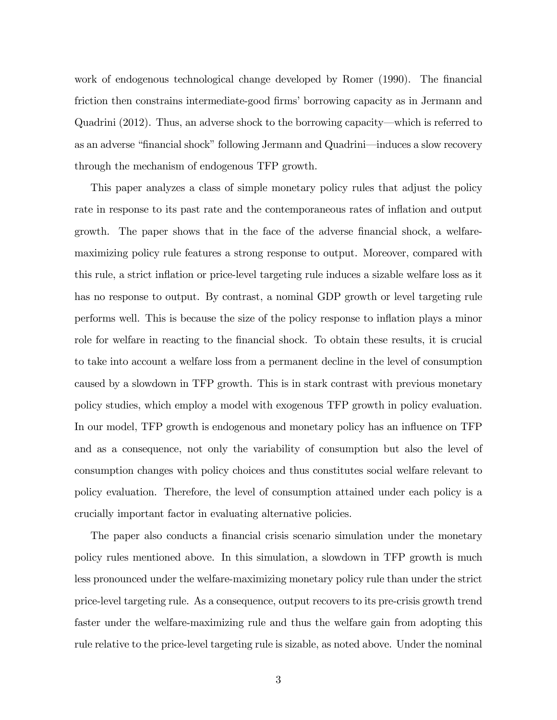work of endogenous technological change developed by Romer (1990). The financial friction then constrains intermediate-good firms' borrowing capacity as in Jermann and Quadrini  $(2012)$ . Thus, an adverse shock to the borrowing capacity—which is referred to as an adverse "financial shock" following Jermann and Quadrini—induces a slow recovery through the mechanism of endogenous TFP growth.

This paper analyzes a class of simple monetary policy rules that adjust the policy rate in response to its past rate and the contemporaneous rates of inflation and output growth. The paper shows that in the face of the adverse financial shock, a welfaremaximizing policy rule features a strong response to output. Moreover, compared with this rule, a strict inflation or price-level targeting rule induces a sizable welfare loss as it has no response to output. By contrast, a nominal GDP growth or level targeting rule performs well. This is because the size of the policy response to ináation plays a minor role for welfare in reacting to the financial shock. To obtain these results, it is crucial to take into account a welfare loss from a permanent decline in the level of consumption caused by a slowdown in TFP growth. This is in stark contrast with previous monetary policy studies, which employ a model with exogenous TFP growth in policy evaluation. In our model, TFP growth is endogenous and monetary policy has an influence on TFP and as a consequence, not only the variability of consumption but also the level of consumption changes with policy choices and thus constitutes social welfare relevant to policy evaluation. Therefore, the level of consumption attained under each policy is a crucially important factor in evaluating alternative policies.

The paper also conducts a financial crisis scenario simulation under the monetary policy rules mentioned above. In this simulation, a slowdown in TFP growth is much less pronounced under the welfare-maximizing monetary policy rule than under the strict price-level targeting rule. As a consequence, output recovers to its pre-crisis growth trend faster under the welfare-maximizing rule and thus the welfare gain from adopting this rule relative to the price-level targeting rule is sizable, as noted above. Under the nominal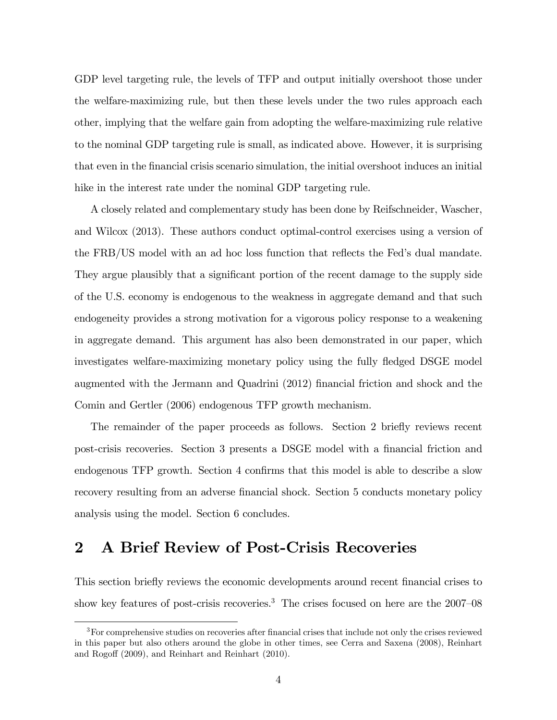GDP level targeting rule, the levels of TFP and output initially overshoot those under the welfare-maximizing rule, but then these levels under the two rules approach each other, implying that the welfare gain from adopting the welfare-maximizing rule relative to the nominal GDP targeting rule is small, as indicated above. However, it is surprising that even in the Önancial crisis scenario simulation, the initial overshoot induces an initial hike in the interest rate under the nominal GDP targeting rule.

A closely related and complementary study has been done by Reifschneider, Wascher, and Wilcox (2013). These authors conduct optimal-control exercises using a version of the FRB/US model with an ad hoc loss function that reflects the Fed's dual mandate. They argue plausibly that a significant portion of the recent damage to the supply side of the U.S. economy is endogenous to the weakness in aggregate demand and that such endogeneity provides a strong motivation for a vigorous policy response to a weakening in aggregate demand. This argument has also been demonstrated in our paper, which investigates welfare-maximizing monetary policy using the fully fledged DSGE model augmented with the Jermann and Quadrini (2012) Önancial friction and shock and the Comin and Gertler (2006) endogenous TFP growth mechanism.

The remainder of the paper proceeds as follows. Section 2 briefly reviews recent post-crisis recoveries. Section 3 presents a DSGE model with a financial friction and endogenous TFP growth. Section 4 confirms that this model is able to describe a slow recovery resulting from an adverse financial shock. Section 5 conducts monetary policy analysis using the model. Section 6 concludes.

# 2 A Brief Review of Post-Crisis Recoveries

This section briefly reviews the economic developments around recent financial crises to show key features of post-crisis recoveries.<sup>3</sup> The crises focused on here are the  $2007-08$ 

<sup>&</sup>lt;sup>3</sup>For comprehensive studies on recoveries after financial crises that include not only the crises reviewed in this paper but also others around the globe in other times, see Cerra and Saxena (2008), Reinhart and Rogoff (2009), and Reinhart and Reinhart (2010).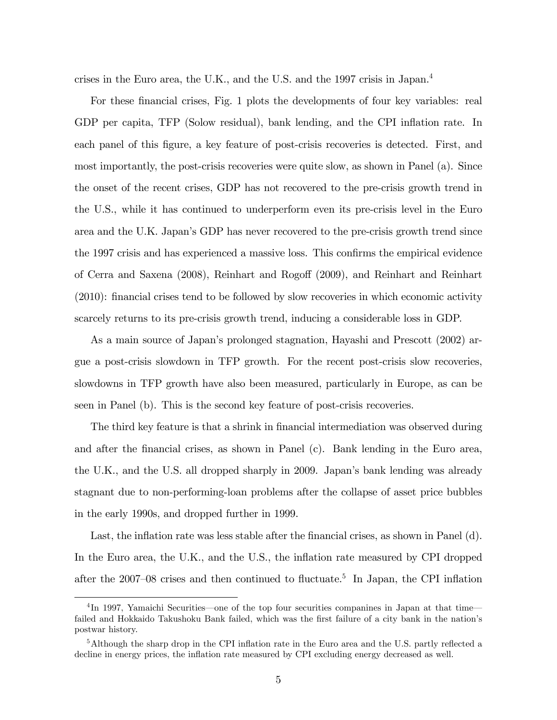crises in the Euro area, the U.K., and the U.S. and the 1997 crisis in Japan.<sup>4</sup>

For these financial crises, Fig. 1 plots the developments of four key variables: real GDP per capita, TFP (Solow residual), bank lending, and the CPI inflation rate. In each panel of this figure, a key feature of post-crisis recoveries is detected. First, and most importantly, the post-crisis recoveries were quite slow, as shown in Panel (a). Since the onset of the recent crises, GDP has not recovered to the pre-crisis growth trend in the U.S., while it has continued to underperform even its pre-crisis level in the Euro area and the U.K. Japanís GDP has never recovered to the pre-crisis growth trend since the 1997 crisis and has experienced a massive loss. This confirms the empirical evidence of Cerra and Saxena (2008), Reinhart and Rogo§ (2009), and Reinhart and Reinhart  $(2010)$ : financial crises tend to be followed by slow recoveries in which economic activity scarcely returns to its pre-crisis growth trend, inducing a considerable loss in GDP.

As a main source of Japan's prolonged stagnation, Hayashi and Prescott (2002) argue a post-crisis slowdown in TFP growth. For the recent post-crisis slow recoveries, slowdowns in TFP growth have also been measured, particularly in Europe, as can be seen in Panel (b). This is the second key feature of post-crisis recoveries.

The third key feature is that a shrink in financial intermediation was observed during and after the financial crises, as shown in Panel (c). Bank lending in the Euro area, the U.K., and the U.S. all dropped sharply in 2009. Japanís bank lending was already stagnant due to non-performing-loan problems after the collapse of asset price bubbles in the early 1990s, and dropped further in 1999.

Last, the inflation rate was less stable after the financial crises, as shown in Panel (d). In the Euro area, the U.K., and the U.S., the inflation rate measured by CPI dropped after the 2007–08 crises and then continued to fluctuate.<sup>5</sup> In Japan, the CPI inflation

 ${}^{4}\text{In}$  1997, Yamaichi Securities—one of the top four securities companines in Japan at that time failed and Hokkaido Takushoku Bank failed, which was the first failure of a city bank in the nation's postwar history.

 $5$ Although the sharp drop in the CPI inflation rate in the Euro area and the U.S. partly reflected a decline in energy prices, the inflation rate measured by CPI excluding energy decreased as well.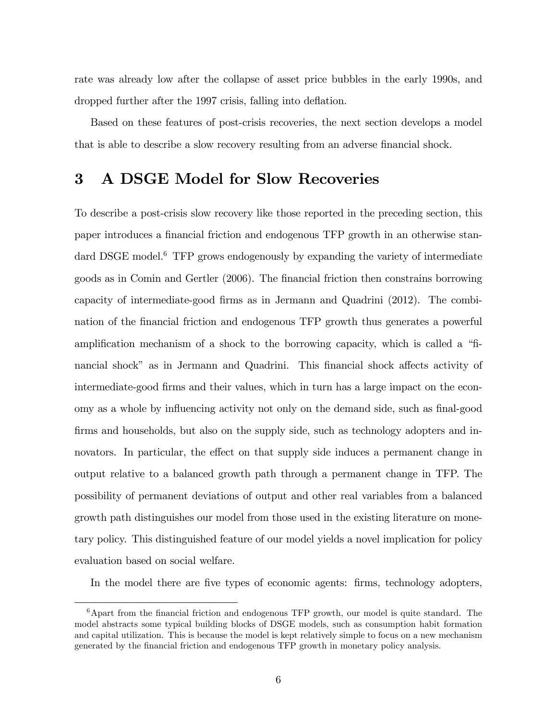rate was already low after the collapse of asset price bubbles in the early 1990s, and dropped further after the 1997 crisis, falling into deflation.

Based on these features of post-crisis recoveries, the next section develops a model that is able to describe a slow recovery resulting from an adverse financial shock.

## 3 A DSGE Model for Slow Recoveries

To describe a post-crisis slow recovery like those reported in the preceding section, this paper introduces a financial friction and endogenous TFP growth in an otherwise standard DSGE model.<sup>6</sup> TFP grows endogenously by expanding the variety of intermediate goods as in Comin and Gertler (2006). The Önancial friction then constrains borrowing capacity of intermediate-good Örms as in Jermann and Quadrini (2012). The combination of the financial friction and endogenous TFP growth thus generates a powerful amplification mechanism of a shock to the borrowing capacity, which is called a "financial shock" as in Jermann and Quadrini. This financial shock affects activity of intermediate-good Örms and their values, which in turn has a large impact on the economy as a whole by influencing activity not only on the demand side, such as final-good firms and households, but also on the supply side, such as technology adopters and innovators. In particular, the effect on that supply side induces a permanent change in output relative to a balanced growth path through a permanent change in TFP. The possibility of permanent deviations of output and other real variables from a balanced growth path distinguishes our model from those used in the existing literature on monetary policy. This distinguished feature of our model yields a novel implication for policy evaluation based on social welfare.

In the model there are five types of economic agents: firms, technology adopters,

 $6$ Apart from the financial friction and endogenous TFP growth, our model is quite standard. The model abstracts some typical building blocks of DSGE models, such as consumption habit formation and capital utilization. This is because the model is kept relatively simple to focus on a new mechanism generated by the Önancial friction and endogenous TFP growth in monetary policy analysis.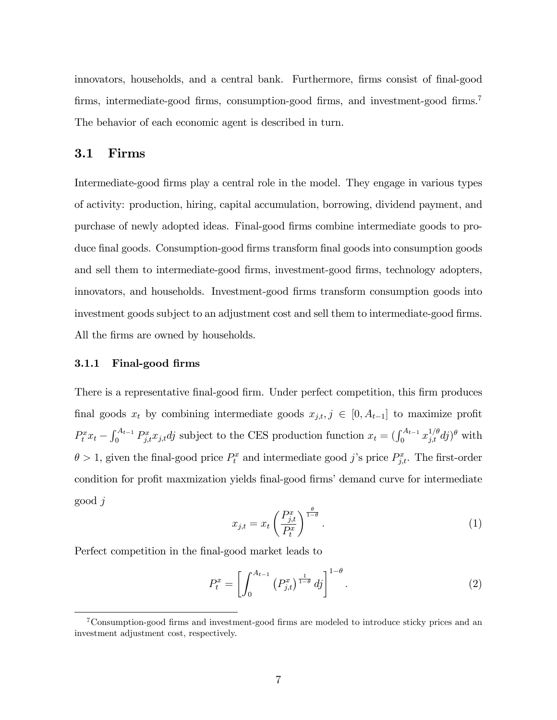innovators, households, and a central bank. Furthermore, firms consist of final-good firms, intermediate-good firms, consumption-good firms, and investment-good firms.<sup>7</sup> The behavior of each economic agent is described in turn.

#### 3.1 Firms

Intermediate-good firms play a central role in the model. They engage in various types of activity: production, hiring, capital accumulation, borrowing, dividend payment, and purchase of newly adopted ideas. Final-good Örms combine intermediate goods to produce final goods. Consumption-good firms transform final goods into consumption goods and sell them to intermediate-good firms, investment-good firms, technology adopters, innovators, and households. Investment-good Örms transform consumption goods into investment goods subject to an adjustment cost and sell them to intermediate-good firms. All the firms are owned by households.

#### 3.1.1 Final-good firms

There is a representative final-good firm. Under perfect competition, this firm produces final goods  $x_t$  by combining intermediate goods  $x_{j,t}, j \in [0, A_{t-1}]$  to maximize profit  $P_t^x x_t - \int_0^{A_{t-1}} P_{j,t}^x x_{j,t} dt$  subject to the CES production function  $x_t = (\int_0^{A_{t-1}} x_{j,t}^{1/\theta} df)^{\theta}$  with  $\theta > 1$ , given the final-good price  $P_t^x$  and intermediate good j's price  $P_{j,t}^x$ . The first-order condition for profit maxmization yields final-good firms' demand curve for intermediate good j

$$
x_{j,t} = x_t \left(\frac{P_{j,t}^x}{P_t^x}\right)^{\frac{\theta}{1-\theta}}.\tag{1}
$$

Perfect competition in the final-good market leads to

$$
P_t^x = \left[ \int_0^{A_{t-1}} \left( P_{j,t}^x \right)^{\frac{1}{1-\theta}} df \right]^{1-\theta} . \tag{2}
$$

 $7$ Consumption-good firms and investment-good firms are modeled to introduce sticky prices and an investment adjustment cost, respectively.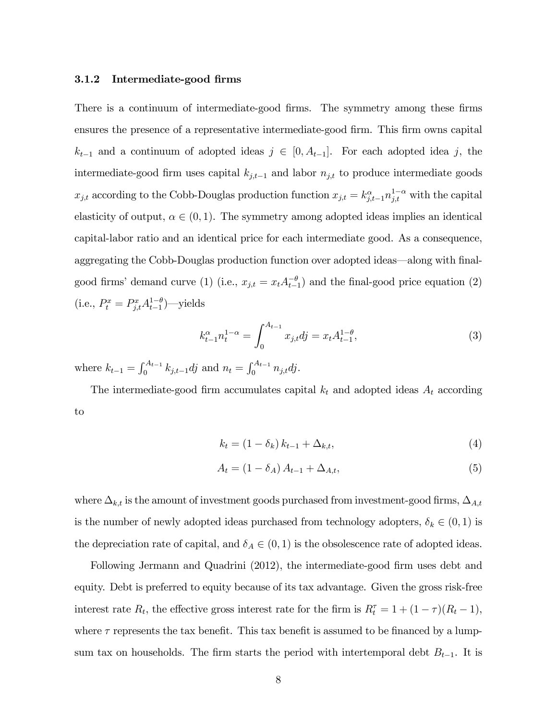#### 3.1.2 Intermediate-good firms

There is a continuum of intermediate-good firms. The symmetry among these firms ensures the presence of a representative intermediate-good firm. This firm owns capital  $k_{t-1}$  and a continuum of adopted ideas  $j \in [0, A_{t-1}]$ . For each adopted idea j, the intermediate-good firm uses capital  $k_{j,t-1}$  and labor  $n_{j,t}$  to produce intermediate goods  $x_{j,t}$  according to the Cobb-Douglas production function  $x_{j,t} = k_{j,t-1}^{\alpha} n_{j,t}^{1-\alpha}$  with the capital elasticity of output,  $\alpha \in (0, 1)$ . The symmetry among adopted ideas implies an identical capital-labor ratio and an identical price for each intermediate good. As a consequence, aggregating the Cobb-Douglas production function over adopted ideas—along with finalgood firms' demand curve (1) (i.e.,  $x_{j,t} = x_t A_{t-1}^{-\theta}$ ) and the final-good price equation (2) (i.e.,  $P_t^x = P_{j,t}^x A_{t-1}^{1-\theta}$ )—yields

$$
k_{t-1}^{\alpha} n_t^{1-\alpha} = \int_0^{A_{t-1}} x_{j,t} d j = x_t A_{t-1}^{1-\theta}, \tag{3}
$$

where  $k_{t-1} = \int_0^{A_{t-1}} k_{j,t-1} dj$  and  $n_t = \int_0^{A_{t-1}} n_{j,t} dj$ .

The intermediate-good firm accumulates capital  $k_t$  and adopted ideas  $A_t$  according to

$$
k_t = (1 - \delta_k) k_{t-1} + \Delta_{k,t},
$$
\n(4)

$$
A_t = (1 - \delta_A) A_{t-1} + \Delta_{A,t}, \tag{5}
$$

where  $\Delta_{k,t}$  is the amount of investment goods purchased from investment-good firms,  $\Delta_{A,t}$ is the number of newly adopted ideas purchased from technology adopters,  $\delta_k \in (0, 1)$  is the depreciation rate of capital, and  $\delta_A \in (0,1)$  is the obsolescence rate of adopted ideas.

Following Jermann and Quadrini (2012), the intermediate-good firm uses debt and equity. Debt is preferred to equity because of its tax advantage. Given the gross risk-free interest rate  $R_t$ , the effective gross interest rate for the firm is  $R_t^{\tau} = 1 + (1 - \tau)(R_t - 1)$ , where  $\tau$  represents the tax benefit. This tax benefit is assumed to be financed by a lumpsum tax on households. The firm starts the period with intertemporal debt  $B_{t-1}$ . It is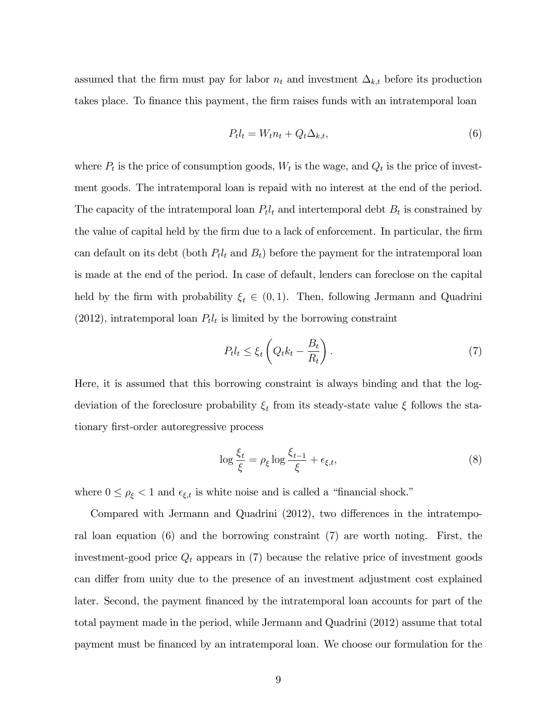assumed that the firm must pay for labor  $n_t$  and investment  $\Delta_{k,t}$  before its production takes place. To finance this payment, the firm raises funds with an intratemporal loan

$$
P_t l_t = W_t n_t + Q_t \Delta_{k,t},\tag{6}
$$

where  $P_t$  is the price of consumption goods,  $W_t$  is the wage, and  $Q_t$  is the price of investment goods. The intratemporal loan is repaid with no interest at the end of the period. The capacity of the intratemporal loan  $P_t l_t$  and intertemporal debt  $B_t$  is constrained by the value of capital held by the firm due to a lack of enforcement. In particular, the firm can default on its debt (both  $P_t l_t$  and  $B_t$ ) before the payment for the intratemporal loan is made at the end of the period. In case of default, lenders can foreclose on the capital held by the firm with probability  $\xi_t \in (0, 1)$ . Then, following Jermann and Quadrini  $(2012)$ , intratemporal loan  $P_t l_t$  is limited by the borrowing constraint

$$
P_t l_t \le \xi_t \left( Q_t k_t - \frac{B_t}{R_t} \right). \tag{7}
$$

Here, it is assumed that this borrowing constraint is always binding and that the logdeviation of the foreclosure probability  $\xi_t$  from its steady-state value  $\xi$  follows the stationary first-order autoregressive process

$$
\log \frac{\xi_t}{\xi} = \rho_\xi \log \frac{\xi_{t-1}}{\xi} + \epsilon_{\xi,t},\tag{8}
$$

where  $0 \leq \rho_{\xi} < 1$  and  $\epsilon_{\xi,t}$  is white noise and is called a "financial shock."

Compared with Jermann and Quadrini (2012), two differences in the intratemporal loan equation (6) and the borrowing constraint (7) are worth noting. First, the investment-good price  $Q_t$  appears in (7) because the relative price of investment goods can differ from unity due to the presence of an investment adjustment cost explained later. Second, the payment financed by the intratemporal loan accounts for part of the total payment made in the period, while Jermann and Quadrini (2012) assume that total payment must be Önanced by an intratemporal loan. We choose our formulation for the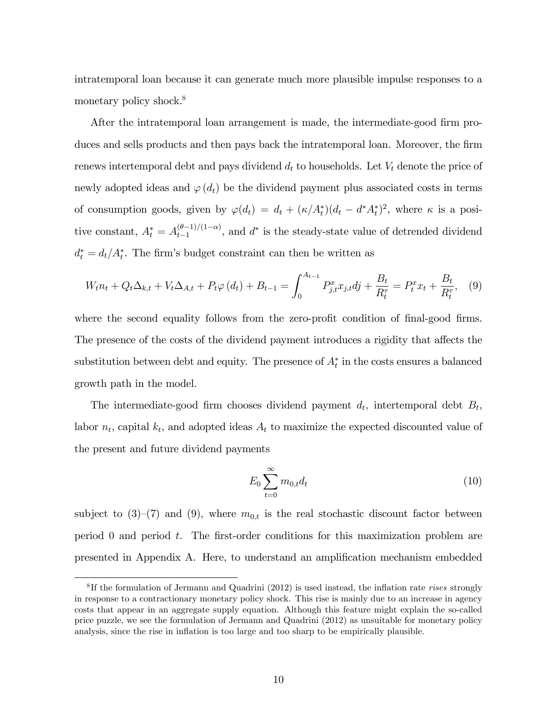intratemporal loan because it can generate much more plausible impulse responses to a monetary policy shock.<sup>8</sup>

After the intratemporal loan arrangement is made, the intermediate-good firm produces and sells products and then pays back the intratemporal loan. Moreover, the firm renews intertemporal debt and pays dividend  $d_t$  to households. Let  $V_t$  denote the price of newly adopted ideas and  $\varphi(d_t)$  be the dividend payment plus associated costs in terms of consumption goods, given by  $\varphi(d_t) = d_t + (\kappa/A_t^*)(d_t - d^*A_t^*)^2$ , where  $\kappa$  is a positive constant,  $A_t^* = A_{t-1}^{(\theta-1)/(1-\alpha)}$  $\binom{(b-1)}{t-1}$ , and  $d^*$  is the steady-state value of detrended dividend  $d_t^* = d_t/A_t^*$ . The firm's budget constraint can then be written as

$$
W_t n_t + Q_t \Delta_{k,t} + V_t \Delta_{A,t} + P_t \varphi(d_t) + B_{t-1} = \int_0^{A_{t-1}} P_{j,t}^x x_{j,t} d_j + \frac{B_t}{R_t^{\tau}} = P_t^x x_t + \frac{B_t}{R_t^{\tau}}, \quad (9)
$$

where the second equality follows from the zero-profit condition of final-good firms. The presence of the costs of the dividend payment introduces a rigidity that affects the substitution between debt and equity. The presence of  $A_t^*$  in the costs ensures a balanced growth path in the model.

The intermediate-good firm chooses dividend payment  $d_t$ , intertemporal debt  $B_t$ , labor  $n_t$ , capital  $k_t$ , and adopted ideas  $A_t$  to maximize the expected discounted value of the present and future dividend payments

$$
E_0 \sum_{t=0}^{\infty} m_{0,t} d_t \tag{10}
$$

subject to  $(3)-(7)$  and  $(9)$ , where  $m_{0,t}$  is the real stochastic discount factor between period 0 and period t. The Örst-order conditions for this maximization problem are presented in Appendix A. Here, to understand an amplification mechanism embedded

 ${}^{8}$ If the formulation of Jermann and Quadrini (2012) is used instead, the inflation rate rises strongly in response to a contractionary monetary policy shock. This rise is mainly due to an increase in agency costs that appear in an aggregate supply equation. Although this feature might explain the so-called price puzzle, we see the formulation of Jermann and Quadrini (2012) as unsuitable for monetary policy analysis, since the rise in inflation is too large and too sharp to be empirically plausible.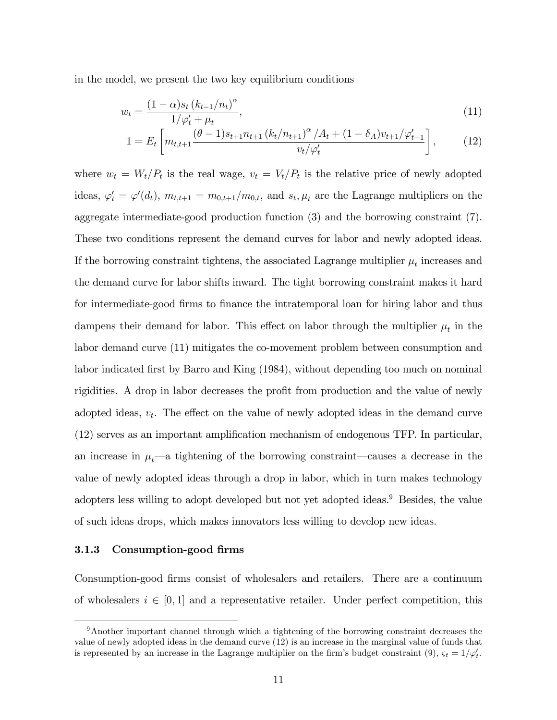in the model, we present the two key equilibrium conditions

$$
w_t = \frac{(1 - \alpha)s_t (k_{t-1}/n_t)^{\alpha}}{1/\varphi'_t + \mu_t},
$$
\n(11)

$$
1 = E_t \left[ m_{t,t+1} \frac{(\theta - 1)s_{t+1} n_{t+1} (k_t/n_{t+1})^{\alpha} / A_t + (1 - \delta_A) v_{t+1} / \varphi'_{t+1}}{v_t / \varphi'_t} \right],
$$
 (12)

where  $w_t = W_t/P_t$  is the real wage,  $v_t = V_t/P_t$  is the relative price of newly adopted ideas,  $\varphi'_t = \varphi'(d_t)$ ,  $m_{t,t+1} = m_{0,t+1}/m_{0,t}$ , and  $s_t, \mu_t$  are the Lagrange multipliers on the aggregate intermediate-good production function (3) and the borrowing constraint (7). These two conditions represent the demand curves for labor and newly adopted ideas. If the borrowing constraint tightens, the associated Lagrange multiplier  $\mu_t$  increases and the demand curve for labor shifts inward. The tight borrowing constraint makes it hard for intermediate-good firms to finance the intratemporal loan for hiring labor and thus dampens their demand for labor. This effect on labor through the multiplier  $\mu_t$  in the labor demand curve (11) mitigates the co-movement problem between consumption and labor indicated first by Barro and King (1984), without depending too much on nominal rigidities. A drop in labor decreases the profit from production and the value of newly adopted ideas,  $v_t$ . The effect on the value of newly adopted ideas in the demand curve  $(12)$  serves as an important amplification mechanism of endogenous TFP. In particular, an increase in  $\mu_t$ —a tightening of the borrowing constraint—causes a decrease in the value of newly adopted ideas through a drop in labor, which in turn makes technology adopters less willing to adopt developed but not yet adopted ideas.<sup>9</sup> Besides, the value of such ideas drops, which makes innovators less willing to develop new ideas.

#### 3.1.3 Consumption-good firms

Consumption-good Örms consist of wholesalers and retailers. There are a continuum of wholesalers  $i \in [0, 1]$  and a representative retailer. Under perfect competition, this

<sup>9</sup>Another important channel through which a tightening of the borrowing constraint decreases the value of newly adopted ideas in the demand curve (12) is an increase in the marginal value of funds that is represented by an increase in the Lagrange multiplier on the firm's budget constraint (9),  $\varsigma_t = 1/\varphi'_t$ .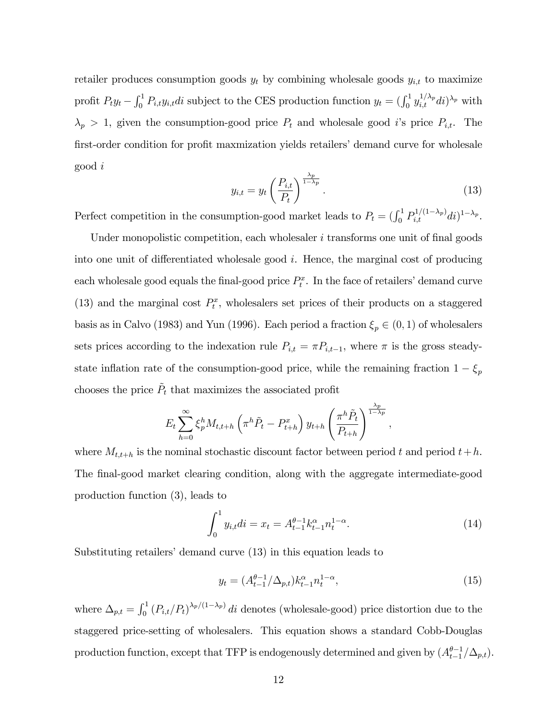retailer produces consumption goods  $y_t$  by combining wholesale goods  $y_{i,t}$  to maximize profit  $P_t y_t - \int_0^1 P_{i,t} y_{i,t} dt$  subject to the CES production function  $y_t = (\int_0^1 y_{i,t}^{1/\lambda_p} dt)^{\lambda_p}$  with  $\lambda_p > 1$ , given the consumption-good price  $P_t$  and wholesale good i's price  $P_{i,t}$ . The first-order condition for profit maxmization yields retailers' demand curve for wholesale good i

$$
y_{i,t} = y_t \left(\frac{P_{i,t}}{P_t}\right)^{\frac{\lambda_p}{1-\lambda_p}}.\tag{13}
$$

Perfect competition in the consumption-good market leads to  $P_t = (\int_0^1 P_{i,t}^{1/(1-\lambda_p)} di)^{1-\lambda_p}$ .

Under monopolistic competition, each wholesaler  $i$  transforms one unit of final goods into one unit of differentiated wholesale good  $i$ . Hence, the marginal cost of producing each wholesale good equals the final-good price  $P_t^x$ . In the face of retailers' demand curve (13) and the marginal cost  $P_t^x$ , wholesalers set prices of their products on a staggered basis as in Calvo (1983) and Yun (1996). Each period a fraction  $\xi_p \in (0, 1)$  of wholesalers sets prices according to the indexation rule  $P_{i,t} = \pi P_{i,t-1}$ , where  $\pi$  is the gross steadystate inflation rate of the consumption-good price, while the remaining fraction  $1-\xi_p$ chooses the price  $\tilde{P}_t$  that maximizes the associated profit

$$
E_t \sum_{h=0}^{\infty} \xi_p^h M_{t,t+h} \left( \pi^h \tilde{P}_t - P_{t+h}^x \right) y_{t+h} \left( \frac{\pi^h \tilde{P}_t}{P_{t+h}} \right)^{\frac{\lambda_p}{1-\lambda_p}},
$$

where  $M_{t,t+h}$  is the nominal stochastic discount factor between period t and period  $t+h$ . The final-good market clearing condition, along with the aggregate intermediate-good production function (3), leads to

$$
\int_0^1 y_{i,t}di = x_t = A_{t-1}^{\theta - 1} k_{t-1}^\alpha n_t^{1 - \alpha}.
$$
 (14)

Substituting retailers' demand curve  $(13)$  in this equation leads to

$$
y_t = (A_{t-1}^{\theta - 1} / \Delta_{p,t}) k_{t-1}^{\alpha} n_t^{1 - \alpha}, \tag{15}
$$

where  $\Delta_{p,t} = \int_0^1 (P_{i,t}/P_t)^{\lambda_p/(1-\lambda_p)} dt$  denotes (wholesale-good) price distortion due to the staggered price-setting of wholesalers. This equation shows a standard Cobb-Douglas production function, except that TFP is endogenously determined and given by  $(A_{t-1}^{\theta-1}/\Delta_{p,t})$ .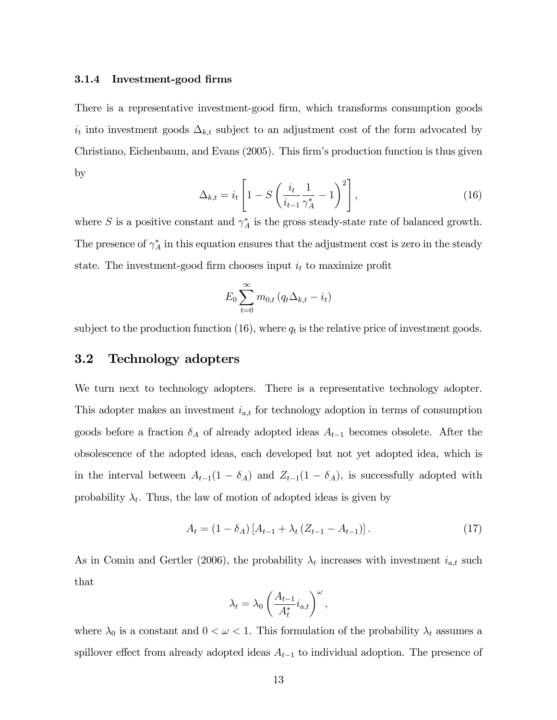#### 3.1.4 Investment-good firms

There is a representative investment-good firm, which transforms consumption goods  $i_t$  into investment goods  $\Delta_{k,t}$  subject to an adjustment cost of the form advocated by Christiano, Eichenbaum, and Evans (2005). This firm's production function is thus given by

$$
\Delta_{k,t} = i_t \left[ 1 - S \left( \frac{i_t}{i_{t-1}} \frac{1}{\gamma_A^*} - 1 \right)^2 \right],
$$
\n(16)

where S is a positive constant and  $\gamma_A^*$  is the gross steady-state rate of balanced growth. The presence of  $\gamma_A^*$  in this equation ensures that the adjustment cost is zero in the steady state. The investment-good firm chooses input  $i_t$  to maximize profit

$$
E_0 \sum_{t=0}^{\infty} m_{0,t} \left( q_t \Delta_{k,t} - i_t \right)
$$

subject to the production function (16), where  $q_t$  is the relative price of investment goods.

### 3.2 Technology adopters

We turn next to technology adopters. There is a representative technology adopter. This adopter makes an investment  $i_{a,t}$  for technology adoption in terms of consumption goods before a fraction  $\delta_A$  of already adopted ideas  $A_{t-1}$  becomes obsolete. After the obsolescence of the adopted ideas, each developed but not yet adopted idea, which is in the interval between  $A_{t-1}(1 - \delta_A)$  and  $Z_{t-1}(1 - \delta_A)$ , is successfully adopted with probability  $\lambda_t$ . Thus, the law of motion of adopted ideas is given by

$$
A_{t} = (1 - \delta_{A}) [A_{t-1} + \lambda_{t} (Z_{t-1} - A_{t-1})]. \tag{17}
$$

As in Comin and Gertler (2006), the probability  $\lambda_t$  increases with investment  $i_{a,t}$  such that

$$
\lambda_t = \lambda_0 \left( \frac{A_{t-1}}{A_t^*} i_{a,t} \right)^{\omega},
$$

where  $\lambda_0$  is a constant and  $0 < \omega < 1$ . This formulation of the probability  $\lambda_t$  assumes a spillover effect from already adopted ideas  $A_{t-1}$  to individual adoption. The presence of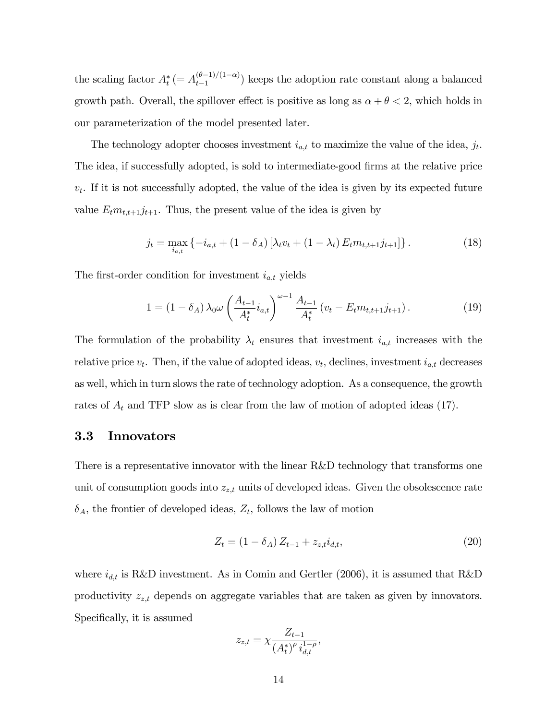the scaling factor  $A_t^*$  (=  $A_{t-1}^{(\theta-1)/(1-\alpha)}$ )  $\binom{(b-1)}{t-1}$  keeps the adoption rate constant along a balanced growth path. Overall, the spillover effect is positive as long as  $\alpha + \theta < 2$ , which holds in our parameterization of the model presented later.

The technology adopter chooses investment  $i_{a,t}$  to maximize the value of the idea,  $j_t$ . The idea, if successfully adopted, is sold to intermediate-good firms at the relative price  $v_t$ . If it is not successfully adopted, the value of the idea is given by its expected future value  $E_t m_{t,t+1} j_{t+1}$ . Thus, the present value of the idea is given by

$$
j_t = \max_{i_{a,t}} \left\{ -i_{a,t} + (1 - \delta_A) \left[ \lambda_t v_t + (1 - \lambda_t) E_t m_{t,t+1} j_{t+1} \right] \right\}.
$$
 (18)

The first-order condition for investment  $i_{a,t}$  yields

$$
1 = (1 - \delta_A) \lambda_0 \omega \left( \frac{A_{t-1}}{A_t^*} i_{a,t} \right)^{\omega - 1} \frac{A_{t-1}}{A_t^*} \left( v_t - E_t m_{t,t+1} j_{t+1} \right).
$$
 (19)

The formulation of the probability  $\lambda_t$  ensures that investment  $i_{a,t}$  increases with the relative price  $v_t$ . Then, if the value of adopted ideas,  $v_t$ , declines, investment  $i_{a,t}$  decreases as well, which in turn slows the rate of technology adoption. As a consequence, the growth rates of  $A_t$  and TFP slow as is clear from the law of motion of adopted ideas (17).

#### 3.3 Innovators

There is a representative innovator with the linear R&D technology that transforms one unit of consumption goods into  $z_{z,t}$  units of developed ideas. Given the obsolescence rate  $\delta_A$ , the frontier of developed ideas,  $Z_t$ , follows the law of motion

$$
Z_t = (1 - \delta_A) Z_{t-1} + z_{z,t} i_{d,t}, \qquad (20)
$$

where  $i_{d,t}$  is R&D investment. As in Comin and Gertler (2006), it is assumed that R&D productivity  $z_{z,t}$  depends on aggregate variables that are taken as given by innovators. Specifically, it is assumed

$$
z_{z,t} = \chi \frac{Z_{t-1}}{(A_t^*)^\rho i_{d,t}^{1-\rho}},
$$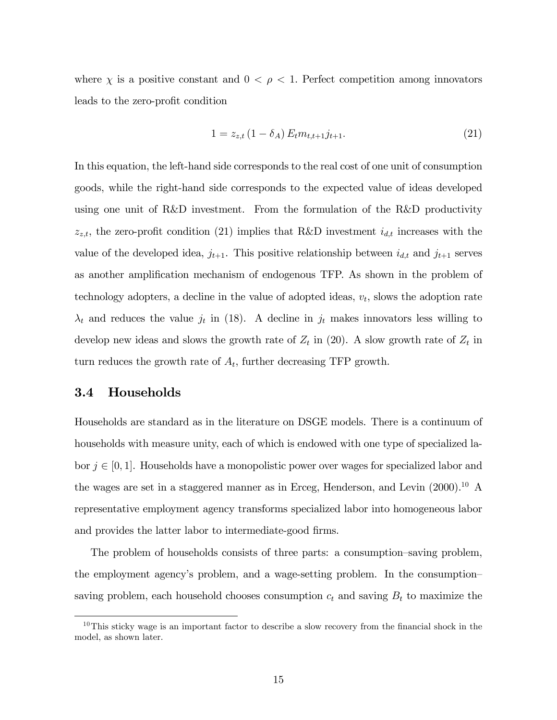where  $\chi$  is a positive constant and  $0 < \rho < 1$ . Perfect competition among innovators leads to the zero-profit condition

$$
1 = z_{z,t} \left( 1 - \delta_A \right) E_t m_{t,t+1} j_{t+1}.
$$
\n(21)

In this equation, the left-hand side corresponds to the real cost of one unit of consumption goods, while the right-hand side corresponds to the expected value of ideas developed using one unit of R&D investment. From the formulation of the R&D productivity  $z_{z,t}$ , the zero-profit condition (21) implies that R&D investment  $i_{d,t}$  increases with the value of the developed idea,  $j_{t+1}$ . This positive relationship between  $i_{d,t}$  and  $j_{t+1}$  serves as another amplification mechanism of endogenous TFP. As shown in the problem of technology adopters, a decline in the value of adopted ideas,  $v_t$ , slows the adoption rate  $\lambda_t$  and reduces the value  $j_t$  in (18). A decline in  $j_t$  makes innovators less willing to develop new ideas and slows the growth rate of  $Z_t$  in (20). A slow growth rate of  $Z_t$  in turn reduces the growth rate of  $A_t$ , further decreasing TFP growth.

### 3.4 Households

Households are standard as in the literature on DSGE models. There is a continuum of households with measure unity, each of which is endowed with one type of specialized labor  $j \in [0, 1]$ . Households have a monopolistic power over wages for specialized labor and the wages are set in a staggered manner as in Erceg, Henderson, and Levin (2000).<sup>10</sup> A representative employment agency transforms specialized labor into homogeneous labor and provides the latter labor to intermediate-good firms.

The problem of households consists of three parts: a consumption–saving problem, the employment agency's problem, and a wage-setting problem. In the consumption– saving problem, each household chooses consumption  $c_t$  and saving  $B_t$  to maximize the

<sup>&</sup>lt;sup>10</sup>This sticky wage is an important factor to describe a slow recovery from the financial shock in the model, as shown later.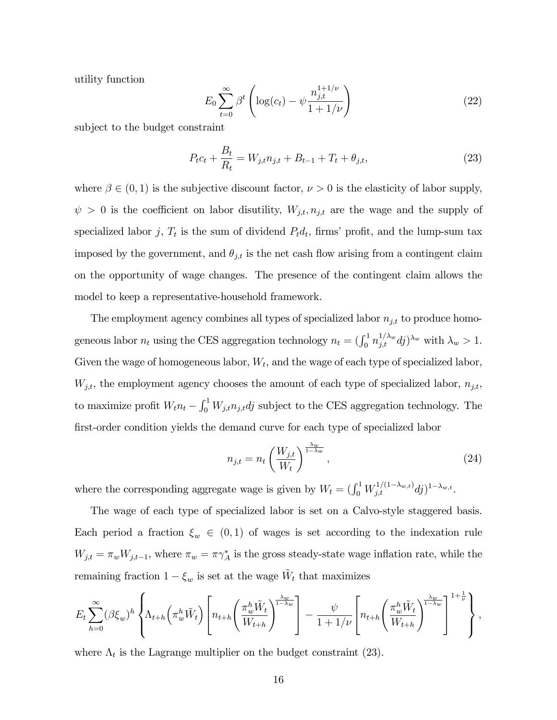utility function

$$
E_0 \sum_{t=0}^{\infty} \beta^t \left( \log(c_t) - \psi \frac{n_{j,t}^{1+1/\nu}}{1+1/\nu} \right)
$$
 (22)

subject to the budget constraint

$$
P_t c_t + \frac{B_t}{R_t} = W_{j,t} n_{j,t} + B_{t-1} + T_t + \theta_{j,t},
$$
\n(23)

where  $\beta \in (0,1)$  is the subjective discount factor,  $\nu > 0$  is the elasticity of labor supply,  $\psi > 0$  is the coefficient on labor disutility,  $W_{j,t}, n_{j,t}$  are the wage and the supply of specialized labor j,  $T_t$  is the sum of dividend  $P_t d_t$ , firms' profit, and the lump-sum tax imposed by the government, and  $\theta_{j,t}$  is the net cash flow arising from a contingent claim on the opportunity of wage changes. The presence of the contingent claim allows the model to keep a representative-household framework.

The employment agency combines all types of specialized labor  $n_{j,t}$  to produce homogeneous labor  $n_t$  using the CES aggregation technology  $n_t = (\int_0^1 n_{j,t}^{1/\lambda_w} dj)^{\lambda_w}$  with  $\lambda_w > 1$ . Given the wage of homogeneous labor,  $W_t$ , and the wage of each type of specialized labor,  $W_{j,t}$ , the employment agency chooses the amount of each type of specialized labor,  $n_{j,t}$ , to maximize profit  $W_t n_t - \int_0^1 W_{j,t} n_{j,t} dt$  subject to the CES aggregation technology. The first-order condition yields the demand curve for each type of specialized labor

$$
n_{j,t} = n_t \left(\frac{W_{j,t}}{W_t}\right)^{\frac{\lambda_w}{1-\lambda_w}},\tag{24}
$$

where the corresponding aggregate wage is given by  $W_t = (\int_0^1 W_{j,t}^{1/(1-\lambda_{w,t})} dj)^{1-\lambda_{w,t}}$ .

The wage of each type of specialized labor is set on a Calvo-style staggered basis. Each period a fraction  $\xi_w \in (0,1)$  of wages is set according to the indexation rule  $W_{j,t} = \pi_w W_{j,t-1}$ , where  $\pi_w = \pi \gamma_A^*$  is the gross steady-state wage inflation rate, while the remaining fraction  $1 - \xi_w$  is set at the wage  $\tilde{W}_t$  that maximizes

$$
E_t \sum_{h=0}^{\infty} (\beta \xi_w)^h \left\{ \Lambda_{t+h} \left( \pi_w^h \tilde{W}_t \right) \left[ n_{t+h} \left( \frac{\pi_w^h \tilde{W}_t}{W_{t+h}} \right)^{\frac{\lambda_w}{1-\lambda_w}} \right] - \frac{\psi}{1+1/\nu} \left[ n_{t+h} \left( \frac{\pi_w^h \tilde{W}_t}{W_{t+h}} \right)^{\frac{\lambda_w}{1-\lambda_w}} \right]^{1+\frac{1}{\nu}} \right\},
$$

where  $\Lambda_t$  is the Lagrange multiplier on the budget constraint (23).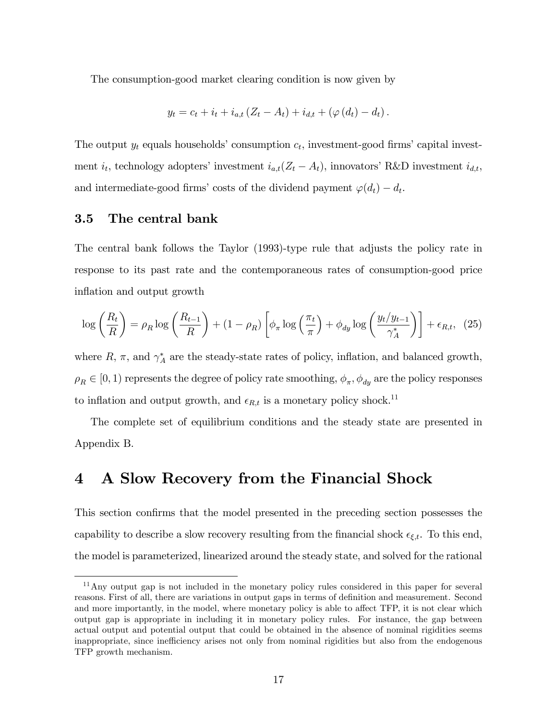The consumption-good market clearing condition is now given by

$$
y_t = c_t + i_t + i_{a,t} (Z_t - A_t) + i_{d,t} + (\varphi(d_t) - d_t).
$$

The output  $y_t$  equals households' consumption  $c_t$ , investment-good firms' capital investment  $i_t$ , technology adopters' investment  $i_{a,t}(Z_t - A_t)$ , innovators' R&D investment  $i_{d,t}$ , and intermediate-good firms' costs of the dividend payment  $\varphi(d_t) - d_t$ .

#### 3.5 The central bank

The central bank follows the Taylor (1993)-type rule that adjusts the policy rate in response to its past rate and the contemporaneous rates of consumption-good price inflation and output growth

$$
\log\left(\frac{R_t}{R}\right) = \rho_R \log\left(\frac{R_{t-1}}{R}\right) + (1 - \rho_R) \left[\phi_\pi \log\left(\frac{\pi_t}{\pi}\right) + \phi_{dy} \log\left(\frac{y_t/y_{t-1}}{\gamma_A^*}\right)\right] + \epsilon_{R,t}, \tag{25}
$$

where  $R$ ,  $\pi$ , and  $\gamma_A^*$  are the steady-state rates of policy, inflation, and balanced growth,  $\rho_R \in [0, 1)$  represents the degree of policy rate smoothing,  $\phi_{\pi}$ ,  $\phi_{dy}$  are the policy responses to inflation and output growth, and  $\epsilon_{R,t}$  is a monetary policy shock.<sup>11</sup>

The complete set of equilibrium conditions and the steady state are presented in Appendix B.

### 4 A Slow Recovery from the Financial Shock

This section confirms that the model presented in the preceding section possesses the capability to describe a slow recovery resulting from the financial shock  $\epsilon_{\xi,t}$ . To this end, the model is parameterized, linearized around the steady state, and solved for the rational

<sup>&</sup>lt;sup>11</sup>Any output gap is not included in the monetary policy rules considered in this paper for several reasons. First of all, there are variations in output gaps in terms of definition and measurement. Second and more importantly, in the model, where monetary policy is able to affect TFP, it is not clear which output gap is appropriate in including it in monetary policy rules. For instance, the gap between actual output and potential output that could be obtained in the absence of nominal rigidities seems inappropriate, since inefficiency arises not only from nominal rigidities but also from the endogenous TFP growth mechanism.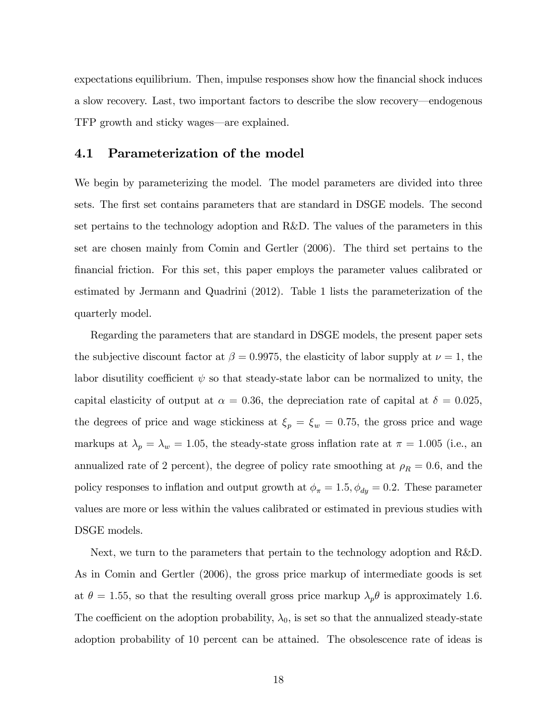expectations equilibrium. Then, impulse responses show how the financial shock induces a slow recovery. Last, two important factors to describe the slow recovery—endogenous TFP growth and sticky wages—are explained.

#### 4.1 Parameterization of the model

We begin by parameterizing the model. The model parameters are divided into three sets. The first set contains parameters that are standard in DSGE models. The second set pertains to the technology adoption and R&D. The values of the parameters in this set are chosen mainly from Comin and Gertler (2006). The third set pertains to the Önancial friction. For this set, this paper employs the parameter values calibrated or estimated by Jermann and Quadrini (2012). Table 1 lists the parameterization of the quarterly model.

Regarding the parameters that are standard in DSGE models, the present paper sets the subjective discount factor at  $\beta = 0.9975$ , the elasticity of labor supply at  $\nu = 1$ , the labor disutility coefficient  $\psi$  so that steady-state labor can be normalized to unity, the capital elasticity of output at  $\alpha = 0.36$ , the depreciation rate of capital at  $\delta = 0.025$ , the degrees of price and wage stickiness at  $\xi_p = \xi_w = 0.75$ , the gross price and wage markups at  $\lambda_p = \lambda_w = 1.05$ , the steady-state gross inflation rate at  $\pi = 1.005$  (i.e., an annualized rate of 2 percent), the degree of policy rate smoothing at  $\rho_R = 0.6$ , and the policy responses to inflation and output growth at  $\phi_{\pi} = 1.5, \phi_{dy} = 0.2$ . These parameter values are more or less within the values calibrated or estimated in previous studies with DSGE models.

Next, we turn to the parameters that pertain to the technology adoption and R&D. As in Comin and Gertler (2006), the gross price markup of intermediate goods is set at  $\theta = 1.55$ , so that the resulting overall gross price markup  $\lambda_p \theta$  is approximately 1.6. The coefficient on the adoption probability,  $\lambda_0$ , is set so that the annualized steady-state adoption probability of 10 percent can be attained. The obsolescence rate of ideas is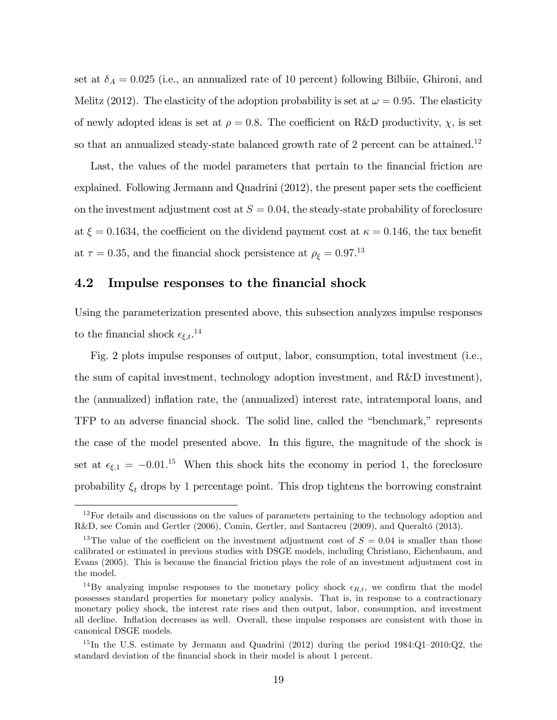set at  $\delta_A = 0.025$  (i.e., an annualized rate of 10 percent) following Bilbiie, Ghironi, and Melitz (2012). The elasticity of the adoption probability is set at  $\omega = 0.95$ . The elasticity of newly adopted ideas is set at  $\rho = 0.8$ . The coefficient on R&D productivity,  $\chi$ , is set so that an annualized steady-state balanced growth rate of 2 percent can be attained.<sup>12</sup>

Last, the values of the model parameters that pertain to the financial friction are explained. Following Jermann and Quadrini  $(2012)$ , the present paper sets the coefficient on the investment adjustment cost at  $S = 0.04$ , the steady-state probability of foreclosure at  $\xi = 0.1634$ , the coefficient on the dividend payment cost at  $\kappa = 0.146$ , the tax benefit at  $\tau = 0.35$ , and the financial shock persistence at  $\rho_{\xi} = 0.97$ <sup>13</sup>

### 4.2 Impulse responses to the financial shock

Using the parameterization presented above, this subsection analyzes impulse responses to the financial shock  $\epsilon_{\xi,t}$ .<sup>14</sup>

Fig. 2 plots impulse responses of output, labor, consumption, total investment (i.e., the sum of capital investment, technology adoption investment, and R&D investment), the (annualized) inflation rate, the (annualized) interest rate, intratemporal loans, and TFP to an adverse financial shock. The solid line, called the "benchmark," represents the case of the model presented above. In this Ögure, the magnitude of the shock is set at  $\epsilon_{\xi,1} = -0.01$ .<sup>15</sup> When this shock hits the economy in period 1, the foreclosure probability  $\xi_t$  drops by 1 percentage point. This drop tightens the borrowing constraint

 $12$ For details and discussions on the values of parameters pertaining to the technology adoption and R&D, see Comin and Gertler (2006), Comin, Gertler, and Santacreu (2009), and Queraltó (2013).

<sup>&</sup>lt;sup>13</sup>The value of the coefficient on the investment adjustment cost of  $S = 0.04$  is smaller than those calibrated or estimated in previous studies with DSGE models, including Christiano, Eichenbaum, and Evans (2005). This is because the Önancial friction plays the role of an investment adjustment cost in the model.

<sup>&</sup>lt;sup>14</sup>By analyzing impulse responses to the monetary policy shock  $\epsilon_{R,t}$ , we confirm that the model possesses standard properties for monetary policy analysis. That is, in response to a contractionary monetary policy shock, the interest rate rises and then output, labor, consumption, and investment all decline. Inflation decreases as well. Overall, these impulse responses are consistent with those in canonical DSGE models.

<sup>&</sup>lt;sup>15</sup>In the U.S. estimate by Jermann and Quadrini (2012) during the period  $1984:Q1-2010:Q2$ , the standard deviation of the financial shock in their model is about 1 percent.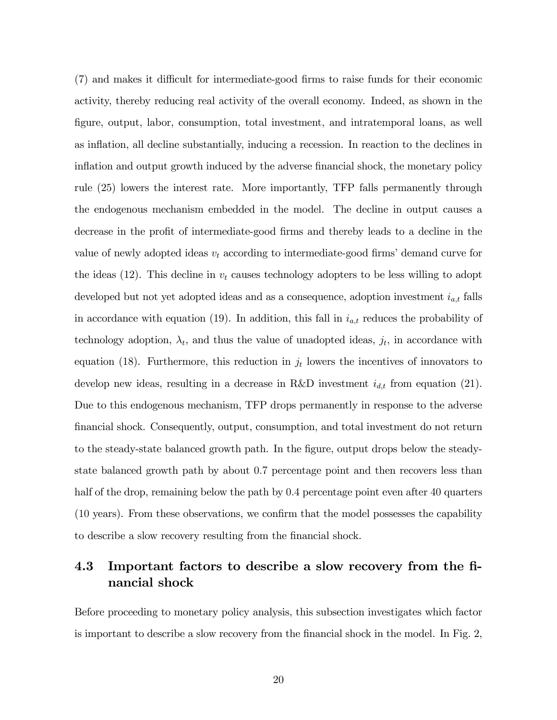$(7)$  and makes it difficult for intermediate-good firms to raise funds for their economic activity, thereby reducing real activity of the overall economy. Indeed, as shown in the figure, output, labor, consumption, total investment, and intratemporal loans, as well as inflation, all decline substantially, inducing a recession. In reaction to the declines in inflation and output growth induced by the adverse financial shock, the monetary policy rule (25) lowers the interest rate. More importantly, TFP falls permanently through the endogenous mechanism embedded in the model. The decline in output causes a decrease in the profit of intermediate-good firms and thereby leads to a decline in the value of newly adopted ideas  $v_t$  according to intermediate-good firms' demand curve for the ideas (12). This decline in  $v_t$  causes technology adopters to be less willing to adopt developed but not yet adopted ideas and as a consequence, adoption investment  $i_{a,t}$  falls in accordance with equation (19). In addition, this fall in  $i_{a,t}$  reduces the probability of technology adoption,  $\lambda_t$ , and thus the value of unadopted ideas,  $j_t$ , in accordance with equation (18). Furthermore, this reduction in  $j_t$  lowers the incentives of innovators to develop new ideas, resulting in a decrease in R&D investment  $i_{d,t}$  from equation (21). Due to this endogenous mechanism, TFP drops permanently in response to the adverse Önancial shock. Consequently, output, consumption, and total investment do not return to the steady-state balanced growth path. In the figure, output drops below the steadystate balanced growth path by about 0:7 percentage point and then recovers less than half of the drop, remaining below the path by 0.4 percentage point even after 40 quarters  $(10 \text{ years})$ . From these observations, we confirm that the model possesses the capability to describe a slow recovery resulting from the financial shock.

## 4.3 Important factors to describe a slow recovery from the Önancial shock

Before proceeding to monetary policy analysis, this subsection investigates which factor is important to describe a slow recovery from the financial shock in the model. In Fig. 2,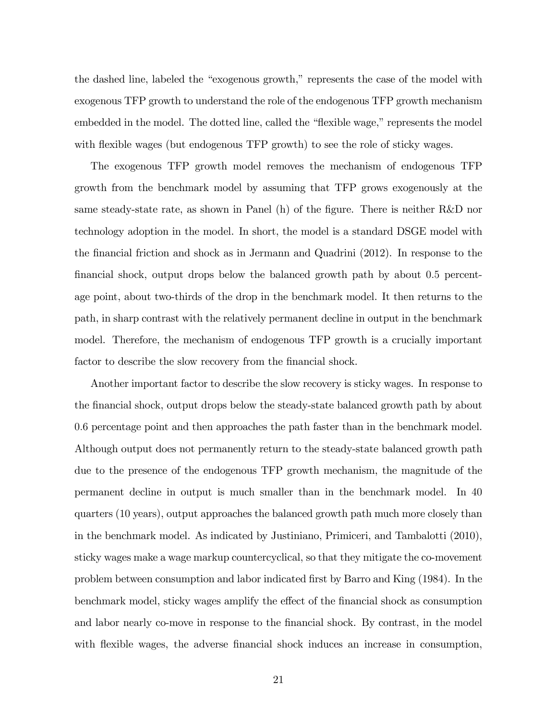the dashed line, labeled the "exogenous growth," represents the case of the model with exogenous TFP growth to understand the role of the endogenous TFP growth mechanism embedded in the model. The dotted line, called the "flexible wage," represents the model with flexible wages (but endogenous TFP growth) to see the role of sticky wages.

The exogenous TFP growth model removes the mechanism of endogenous TFP growth from the benchmark model by assuming that TFP grows exogenously at the same steady-state rate, as shown in Panel (h) of the figure. There is neither R&D nor technology adoption in the model. In short, the model is a standard DSGE model with the Önancial friction and shock as in Jermann and Quadrini (2012). In response to the financial shock, output drops below the balanced growth path by about 0.5 percentage point, about two-thirds of the drop in the benchmark model. It then returns to the path, in sharp contrast with the relatively permanent decline in output in the benchmark model. Therefore, the mechanism of endogenous TFP growth is a crucially important factor to describe the slow recovery from the financial shock.

Another important factor to describe the slow recovery is sticky wages. In response to the financial shock, output drops below the steady-state balanced growth path by about 0:6 percentage point and then approaches the path faster than in the benchmark model. Although output does not permanently return to the steady-state balanced growth path due to the presence of the endogenous TFP growth mechanism, the magnitude of the permanent decline in output is much smaller than in the benchmark model. In 40 quarters (10 years), output approaches the balanced growth path much more closely than in the benchmark model. As indicated by Justiniano, Primiceri, and Tambalotti (2010), sticky wages make a wage markup countercyclical, so that they mitigate the co-movement problem between consumption and labor indicated first by Barro and King (1984). In the benchmark model, sticky wages amplify the effect of the financial shock as consumption and labor nearly co-move in response to the financial shock. By contrast, in the model with flexible wages, the adverse financial shock induces an increase in consumption,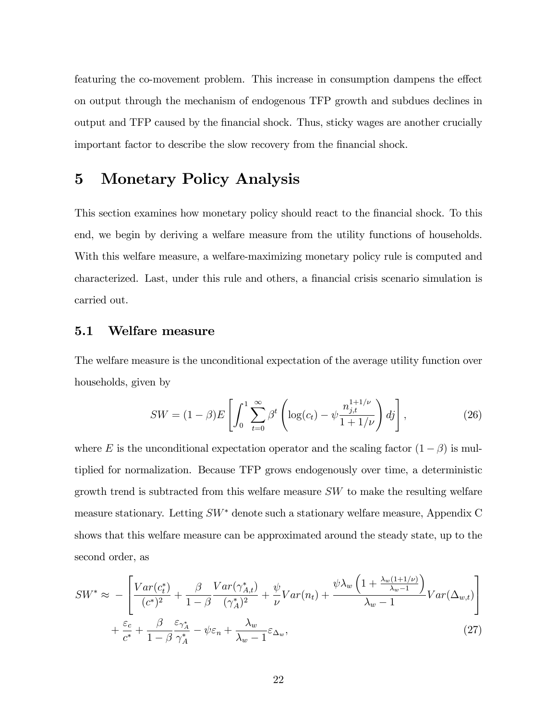featuring the co-movement problem. This increase in consumption dampens the effect on output through the mechanism of endogenous TFP growth and subdues declines in output and TFP caused by the Önancial shock. Thus, sticky wages are another crucially important factor to describe the slow recovery from the financial shock.

### 5 Monetary Policy Analysis

This section examines how monetary policy should react to the financial shock. To this end, we begin by deriving a welfare measure from the utility functions of households. With this welfare measure, a welfare-maximizing monetary policy rule is computed and characterized. Last, under this rule and others, a financial crisis scenario simulation is carried out.

### 5.1 Welfare measure

The welfare measure is the unconditional expectation of the average utility function over households, given by

$$
SW = (1 - \beta)E\left[\int_0^1 \sum_{t=0}^{\infty} \beta^t \left(\log(c_t) - \psi \frac{n_{j,t}^{1+1/\nu}}{1 + 1/\nu}\right) d_j\right],
$$
 (26)

where E is the unconditional expectation operator and the scaling factor  $(1 - \beta)$  is multiplied for normalization. Because TFP grows endogenously over time, a deterministic growth trend is subtracted from this welfare measure SW to make the resulting welfare measure stationary. Letting  $SW^*$  denote such a stationary welfare measure, Appendix C shows that this welfare measure can be approximated around the steady state, up to the second order, as

$$
SW^* \approx -\left[\frac{Var(c_t^*)}{(c^*)^2} + \frac{\beta}{1-\beta} \frac{Var(\gamma_{A,t}^*)}{(\gamma_A^*)^2} + \frac{\psi}{\nu} Var(n_t) + \frac{\psi \lambda_w \left(1 + \frac{\lambda_w (1+1/\nu)}{\lambda_w - 1}\right)}{\lambda_w - 1} Var(\Delta_{w,t})\right] + \frac{\varepsilon_c}{c^*} + \frac{\beta}{1-\beta} \frac{\varepsilon_{\gamma_A^*}}{\gamma_A^*} - \psi \varepsilon_n + \frac{\lambda_w}{\lambda_w - 1} \varepsilon_{\Delta_w},\tag{27}
$$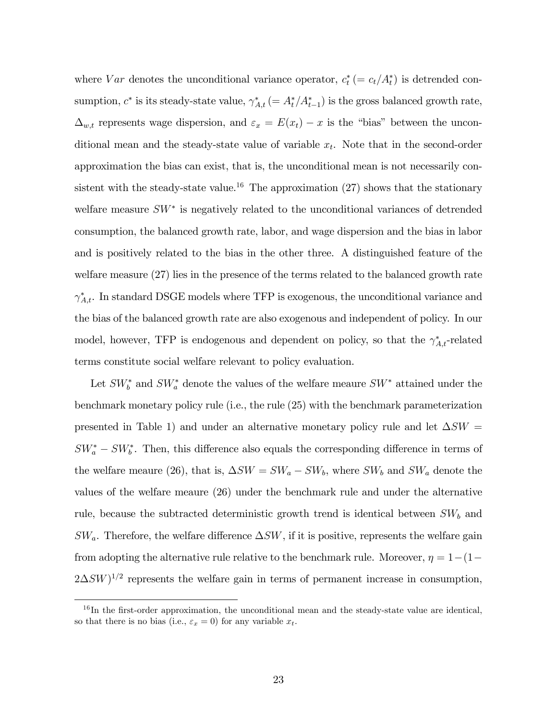where  $Var$  denotes the unconditional variance operator,  $c_t^* (= c_t/A_t^*)$  is detrended consumption,  $c^*$  is its steady-state value,  $\gamma_{A,t}^*$  (=  $A_t^*/A_{t-1}^*$ ) is the gross balanced growth rate,  $\Delta_{w,t}$  represents wage dispersion, and  $\varepsilon_x = E(x_t) - x$  is the "bias" between the unconditional mean and the steady-state value of variable  $x_t$ . Note that in the second-order approximation the bias can exist, that is, the unconditional mean is not necessarily consistent with the steady-state value.<sup>16</sup> The approximation  $(27)$  shows that the stationary welfare measure  $SW^*$  is negatively related to the unconditional variances of detrended consumption, the balanced growth rate, labor, and wage dispersion and the bias in labor and is positively related to the bias in the other three. A distinguished feature of the welfare measure (27) lies in the presence of the terms related to the balanced growth rate  $\gamma_{A,t}^*$ . In standard DSGE models where TFP is exogenous, the unconditional variance and the bias of the balanced growth rate are also exogenous and independent of policy. In our model, however, TFP is endogenous and dependent on policy, so that the  $\gamma_{A,t}^*$ -related terms constitute social welfare relevant to policy evaluation.

Let  $SW_b^*$  and  $SW_a^*$  denote the values of the welfare meaure  $SW^*$  attained under the benchmark monetary policy rule (i.e., the rule (25) with the benchmark parameterization presented in Table 1) and under an alternative monetary policy rule and let  $\Delta SW =$  $SW_a^* - SW_b^*$ . Then, this difference also equals the corresponding difference in terms of the welfare meaure (26), that is,  $\Delta SW = SW_a - SW_b$ , where  $SW_b$  and  $SW_a$  denote the values of the welfare meaure (26) under the benchmark rule and under the alternative rule, because the subtracted deterministic growth trend is identical between  $SW_b$  and  $SW_a$ . Therefore, the welfare difference  $\Delta SW$ , if it is positive, represents the welfare gain from adopting the alternative rule relative to the benchmark rule. Moreover,  $\eta = 1-(1-\eta)$  $2\Delta SW$ <sup> $1/2$ </sup> represents the welfare gain in terms of permanent increase in consumption,

 $16$ In the first-order approximation, the unconditional mean and the steady-state value are identical, so that there is no bias (i.e.,  $\varepsilon_x = 0$ ) for any variable  $x_t$ .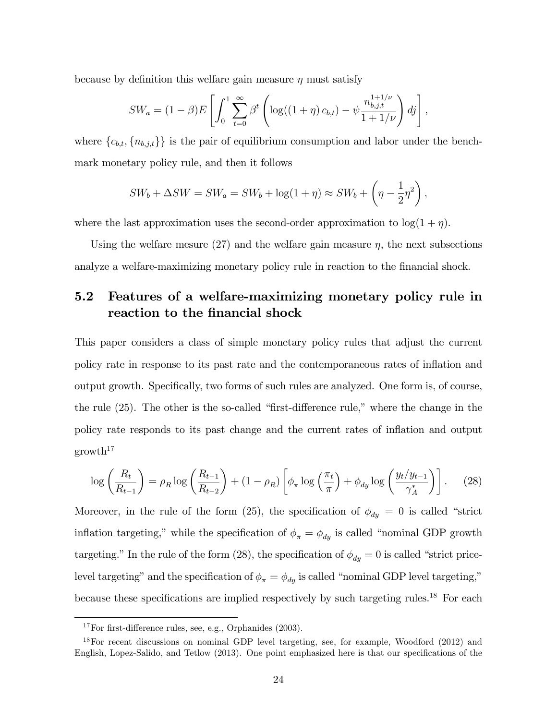because by definition this welfare gain measure  $\eta$  must satisfy

$$
SW_a = (1 - \beta)E\left[\int_0^1 \sum_{t=0}^{\infty} \beta^t \left(\log((1 + \eta) c_{b,t}) - \psi \frac{n_{b,j,t}^{1+1/\nu}}{1 + 1/\nu}\right) d_j\right],
$$

where  $\{c_{b,t}, \{n_{b,j,t}\}\}\$ is the pair of equilibrium consumption and labor under the benchmark monetary policy rule, and then it follows

$$
SW_b + \Delta SW = SW_a = SW_b + \log(1 + \eta) \approx SW_b + \left(\eta - \frac{1}{2}\eta^2\right),
$$

where the last approximation uses the second-order approximation to  $\log(1 + \eta)$ .

Using the welfare mesure  $(27)$  and the welfare gain measure  $\eta$ , the next subsections analyze a welfare-maximizing monetary policy rule in reaction to the financial shock.

## 5.2 Features of a welfare-maximizing monetary policy rule in reaction to the financial shock

This paper considers a class of simple monetary policy rules that adjust the current policy rate in response to its past rate and the contemporaneous rates of ináation and output growth. Specifically, two forms of such rules are analyzed. One form is, of course, the rule  $(25)$ . The other is the so-called "first-difference rule," where the change in the policy rate responds to its past change and the current rates of ináation and output  $\text{growth}^{17}$ 

$$
\log\left(\frac{R_t}{R_{t-1}}\right) = \rho_R \log\left(\frac{R_{t-1}}{R_{t-2}}\right) + (1 - \rho_R) \left[\phi_\pi \log\left(\frac{\pi_t}{\pi}\right) + \phi_{dy} \log\left(\frac{y_t/y_{t-1}}{\gamma_A^*}\right)\right].
$$
 (28)

Moreover, in the rule of the form (25), the specification of  $\phi_{dy} = 0$  is called "strict" inflation targeting," while the specification of  $\phi_{\pi} = \phi_{dy}$  is called "nominal GDP growth targeting." In the rule of the form (28), the specification of  $\phi_{dy} = 0$  is called "strict pricelevel targeting" and the specification of  $\phi_{\pi} = \phi_{dy}$  is called "nominal GDP level targeting," because these specifications are implied respectively by such targeting rules.<sup>18</sup> For each

<sup>&</sup>lt;sup>17</sup>For first-difference rules, see, e.g., Orphanides  $(2003)$ .

 $18$ For recent discussions on nominal GDP level targeting, see, for example, Woodford (2012) and English, Lopez-Salido, and Tetlow (2013). One point emphasized here is that our specifications of the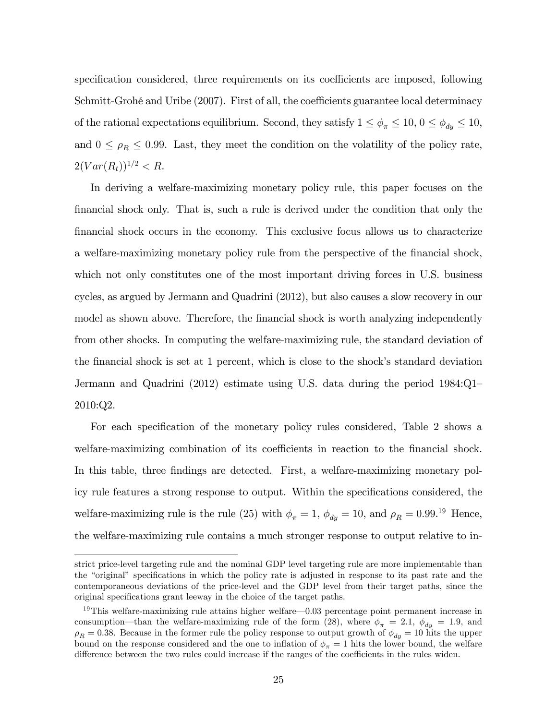specification considered, three requirements on its coefficients are imposed, following Schmitt-Grohé and Uribe  $(2007)$ . First of all, the coefficients guarantee local determinacy of the rational expectations equilibrium. Second, they satisfy  $1 \le \phi_{\pi} \le 10$ ,  $0 \le \phi_{dy} \le 10$ , and  $0 \leq \rho_R \leq 0.99$ . Last, they meet the condition on the volatility of the policy rate,  $2(Var(R_t))^{1/2} < R$ .

In deriving a welfare-maximizing monetary policy rule, this paper focuses on the financial shock only. That is, such a rule is derived under the condition that only the Önancial shock occurs in the economy. This exclusive focus allows us to characterize a welfare-maximizing monetary policy rule from the perspective of the Önancial shock, which not only constitutes one of the most important driving forces in U.S. business cycles, as argued by Jermann and Quadrini (2012), but also causes a slow recovery in our model as shown above. Therefore, the financial shock is worth analyzing independently from other shocks. In computing the welfare-maximizing rule, the standard deviation of the financial shock is set at 1 percent, which is close to the shock's standard deviation Jermann and Quadrini  $(2012)$  estimate using U.S. data during the period  $1984:Q1$ 2010:Q2.

For each specification of the monetary policy rules considered, Table 2 shows a welfare-maximizing combination of its coefficients in reaction to the financial shock. In this table, three findings are detected. First, a welfare-maximizing monetary policy rule features a strong response to output. Within the specifications considered, the welfare-maximizing rule is the rule (25) with  $\phi_{\pi} = 1$ ,  $\phi_{dy} = 10$ , and  $\rho_R = 0.99$ .<sup>19</sup> Hence, the welfare-maximizing rule contains a much stronger response to output relative to in-

strict price-level targeting rule and the nominal GDP level targeting rule are more implementable than the "original" specifications in which the policy rate is adjusted in response to its past rate and the contemporaneous deviations of the price-level and the GDP level from their target paths, since the original specifications grant leeway in the choice of the target paths.

<sup>&</sup>lt;sup>19</sup>This welfare-maximizing rule attains higher welfare $-0.03$  percentage point permanent increase in consumption—than the welfare-maximizing rule of the form (28), where  $\phi_{\pi} = 2.1, \ \phi_{dy} = 1.9$ , and  $\rho_R = 0.38$ . Because in the former rule the policy response to output growth of  $\phi_{dy} = 10$  hits the upper bound on the response considered and the one to inflation of  $\phi_{\pi} = 1$  hits the lower bound, the welfare difference between the two rules could increase if the ranges of the coefficients in the rules widen.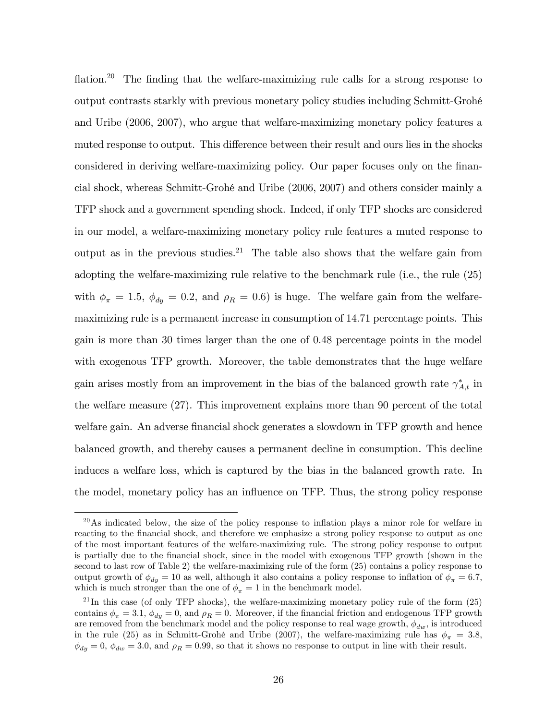flation.<sup>20</sup> The finding that the welfare-maximizing rule calls for a strong response to output contrasts starkly with previous monetary policy studies including Schmitt-GrohÈ and Uribe (2006, 2007), who argue that welfare-maximizing monetary policy features a muted response to output. This difference between their result and ours lies in the shocks considered in deriving welfare-maximizing policy. Our paper focuses only on the financial shock, whereas Schmitt-GrohÈ and Uribe (2006, 2007) and others consider mainly a TFP shock and a government spending shock. Indeed, if only TFP shocks are considered in our model, a welfare-maximizing monetary policy rule features a muted response to output as in the previous studies.<sup>21</sup> The table also shows that the welfare gain from adopting the welfare-maximizing rule relative to the benchmark rule (i.e., the rule (25) with  $\phi_{\pi} = 1.5$ ,  $\phi_{dy} = 0.2$ , and  $\rho_R = 0.6$ ) is huge. The welfare gain from the welfaremaximizing rule is a permanent increase in consumption of 14:71 percentage points. This gain is more than 30 times larger than the one of 0:48 percentage points in the model with exogenous TFP growth. Moreover, the table demonstrates that the huge welfare gain arises mostly from an improvement in the bias of the balanced growth rate  $\gamma_{A,t}^*$  in the welfare measure (27). This improvement explains more than 90 percent of the total welfare gain. An adverse financial shock generates a slowdown in TFP growth and hence balanced growth, and thereby causes a permanent decline in consumption. This decline induces a welfare loss, which is captured by the bias in the balanced growth rate. In the model, monetary policy has an ináuence on TFP. Thus, the strong policy response

 $^{20}$ As indicated below, the size of the policy response to inflation plays a minor role for welfare in reacting to the financial shock, and therefore we emphasize a strong policy response to output as one of the most important features of the welfare-maximizing rule. The strong policy response to output is partially due to the financial shock, since in the model with exogenous TFP growth (shown in the second to last row of Table 2) the welfare-maximizing rule of the form (25) contains a policy response to output growth of  $\phi_{dy} = 10$  as well, although it also contains a policy response to inflation of  $\phi_{\pi} = 6.7$ , which is much stronger than the one of  $\phi_{\pi} = 1$  in the benchmark model.

 $^{21}$ In this case (of only TFP shocks), the welfare-maximizing monetary policy rule of the form  $(25)$ contains  $\phi_{\pi} = 3.1$ ,  $\phi_{dy} = 0$ , and  $\rho_R = 0$ . Moreover, if the financial friction and endogenous TFP growth are removed from the benchmark model and the policy response to real wage growth,  $\phi_{dw}$ , is introduced in the rule (25) as in Schmitt-Grohé and Uribe (2007), the welfare-maximizing rule has  $\phi_{\pi} = 3.8$ ,  $\phi_{dy} = 0$ ,  $\phi_{dw} = 3.0$ , and  $\rho_R = 0.99$ , so that it shows no response to output in line with their result.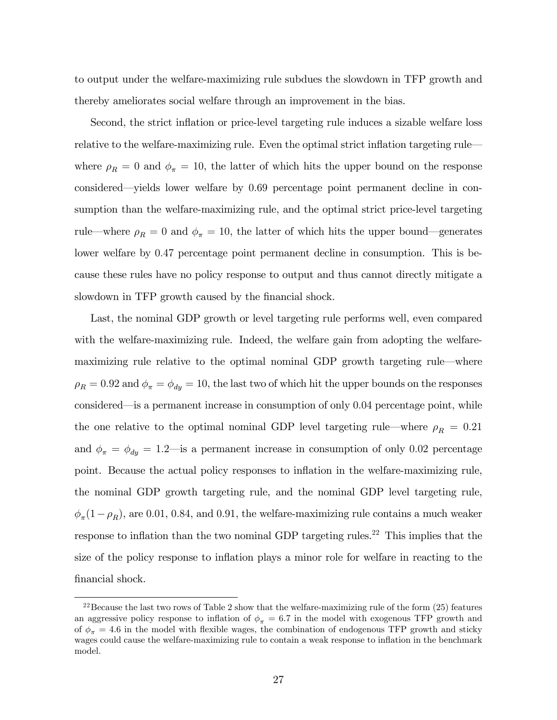to output under the welfare-maximizing rule subdues the slowdown in TFP growth and thereby ameliorates social welfare through an improvement in the bias.

Second, the strict inflation or price-level targeting rule induces a sizable welfare loss relative to the welfare-maximizing rule. Even the optimal strict inflation targeting rule where  $\rho_R = 0$  and  $\phi_\pi = 10$ , the latter of which hits the upper bound on the response considered—yields lower welfare by  $0.69$  percentage point permanent decline in consumption than the welfare-maximizing rule, and the optimal strict price-level targeting rule—where  $\rho_R = 0$  and  $\phi_\pi = 10$ , the latter of which hits the upper bound—generates lower welfare by 0.47 percentage point permanent decline in consumption. This is because these rules have no policy response to output and thus cannot directly mitigate a slowdown in TFP growth caused by the financial shock.

Last, the nominal GDP growth or level targeting rule performs well, even compared with the welfare-maximizing rule. Indeed, the welfare gain from adopting the welfaremaximizing rule relative to the optimal nominal GDP growth targeting rule—where  $\rho_R = 0.92$  and  $\phi_{\pi} = \phi_{dy} = 10$ , the last two of which hit the upper bounds on the responses considered—is a permanent increase in consumption of only  $0.04$  percentage point, while the one relative to the optimal nominal GDP level targeting rule—where  $\rho_R = 0.21$ and  $\phi_{\pi} = \phi_{dy} = 1.2$  is a permanent increase in consumption of only 0.02 percentage point. Because the actual policy responses to inflation in the welfare-maximizing rule, the nominal GDP growth targeting rule, and the nominal GDP level targeting rule,  $\phi_{\pi}(1-\rho_R)$ , are 0.01, 0.84, and 0.91, the welfare-maximizing rule contains a much weaker response to inflation than the two nominal GDP targeting rules.<sup>22</sup> This implies that the size of the policy response to ináation plays a minor role for welfare in reacting to the financial shock.

 $22$ Because the last two rows of Table 2 show that the welfare-maximizing rule of the form  $(25)$  features an aggressive policy response to inflation of  $\phi_{\pi} = 6.7$  in the model with exogenous TFP growth and of  $\phi_{\pi} = 4.6$  in the model with flexible wages, the combination of endogenous TFP growth and sticky wages could cause the welfare-maximizing rule to contain a weak response to inflation in the benchmark model.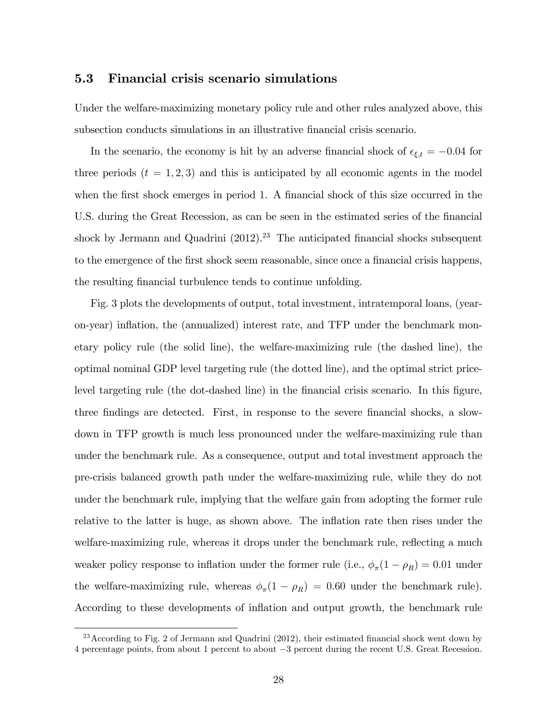#### 5.3 Financial crisis scenario simulations

Under the welfare-maximizing monetary policy rule and other rules analyzed above, this subsection conducts simulations in an illustrative financial crisis scenario.

In the scenario, the economy is hit by an adverse financial shock of  $\epsilon_{\xi,t} = -0.04$  for three periods  $(t = 1, 2, 3)$  and this is anticipated by all economic agents in the model when the first shock emerges in period 1. A financial shock of this size occurred in the U.S. during the Great Recession, as can be seen in the estimated series of the financial shock by Jermann and Quadrini  $(2012).^{23}$  The anticipated financial shocks subsequent to the emergence of the first shock seem reasonable, since once a financial crisis happens, the resulting financial turbulence tends to continue unfolding.

Fig. 3 plots the developments of output, total investment, intratemporal loans, (yearon-year) ináation, the (annualized) interest rate, and TFP under the benchmark monetary policy rule (the solid line), the welfare-maximizing rule (the dashed line), the optimal nominal GDP level targeting rule (the dotted line), and the optimal strict pricelevel targeting rule (the dot-dashed line) in the financial crisis scenario. In this figure, three findings are detected. First, in response to the severe financial shocks, a slowdown in TFP growth is much less pronounced under the welfare-maximizing rule than under the benchmark rule. As a consequence, output and total investment approach the pre-crisis balanced growth path under the welfare-maximizing rule, while they do not under the benchmark rule, implying that the welfare gain from adopting the former rule relative to the latter is huge, as shown above. The inflation rate then rises under the welfare-maximizing rule, whereas it drops under the benchmark rule, reflecting a much weaker policy response to inflation under the former rule (i.e.,  $\phi_{\pi}(1 - \rho_R) = 0.01$  under the welfare-maximizing rule, whereas  $\phi_{\pi}(1 - \rho_R) = 0.60$  under the benchmark rule). According to these developments of inflation and output growth, the benchmark rule

 $^{23}$  According to Fig. 2 of Jermann and Quadrini (2012), their estimated financial shock went down by 4 percentage points, from about 1 percent to about  $-3$  percent during the recent U.S. Great Recession.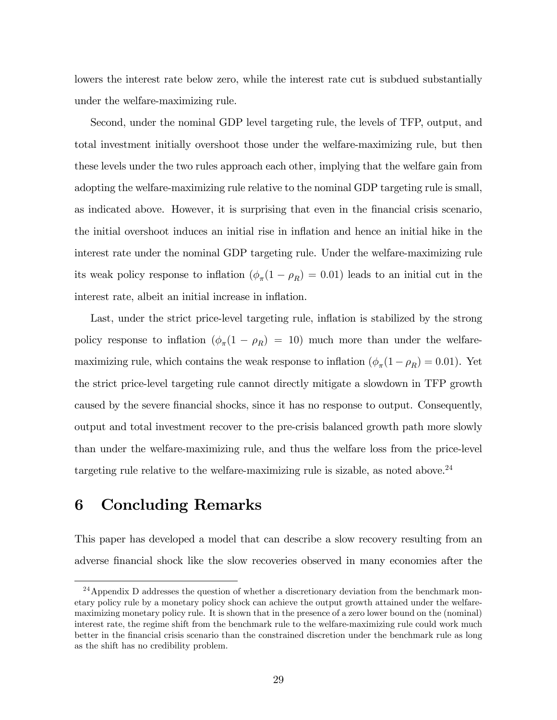lowers the interest rate below zero, while the interest rate cut is subdued substantially under the welfare-maximizing rule.

Second, under the nominal GDP level targeting rule, the levels of TFP, output, and total investment initially overshoot those under the welfare-maximizing rule, but then these levels under the two rules approach each other, implying that the welfare gain from adopting the welfare-maximizing rule relative to the nominal GDP targeting rule is small, as indicated above. However, it is surprising that even in the Önancial crisis scenario, the initial overshoot induces an initial rise in ináation and hence an initial hike in the interest rate under the nominal GDP targeting rule. Under the welfare-maximizing rule its weak policy response to inflation  $(\phi_{\pi}(1 - \rho_R) = 0.01)$  leads to an initial cut in the interest rate, albeit an initial increase in inflation.

Last, under the strict price-level targeting rule, inflation is stabilized by the strong policy response to inflation  $(\phi_{\pi}(1 - \rho_R) = 10)$  much more than under the welfaremaximizing rule, which contains the weak response to inflation  $(\phi_{\pi}(1 - \rho_R) = 0.01)$ . Yet the strict price-level targeting rule cannot directly mitigate a slowdown in TFP growth caused by the severe financial shocks, since it has no response to output. Consequently, output and total investment recover to the pre-crisis balanced growth path more slowly than under the welfare-maximizing rule, and thus the welfare loss from the price-level targeting rule relative to the welfare-maximizing rule is sizable, as noted above.<sup>24</sup>

## 6 Concluding Remarks

This paper has developed a model that can describe a slow recovery resulting from an adverse financial shock like the slow recoveries observed in many economies after the

<sup>&</sup>lt;sup>24</sup>Appendix D addresses the question of whether a discretionary deviation from the benchmark monetary policy rule by a monetary policy shock can achieve the output growth attained under the welfaremaximizing monetary policy rule. It is shown that in the presence of a zero lower bound on the (nominal) interest rate, the regime shift from the benchmark rule to the welfare-maximizing rule could work much better in the Önancial crisis scenario than the constrained discretion under the benchmark rule as long as the shift has no credibility problem.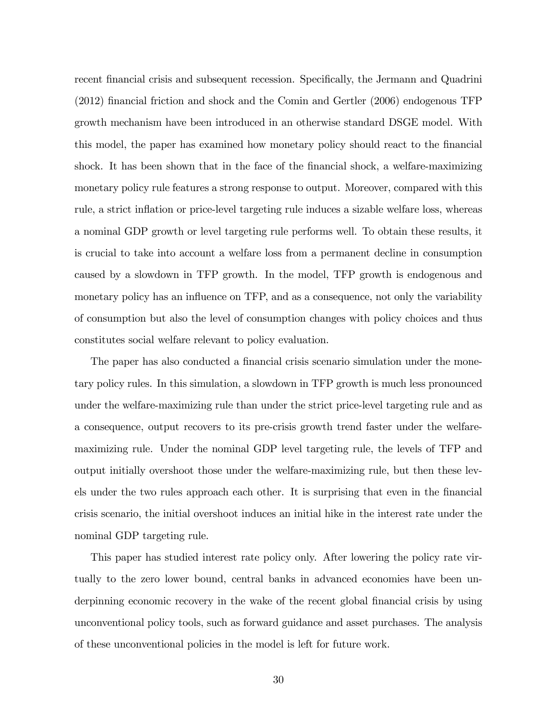recent financial crisis and subsequent recession. Specifically, the Jermann and Quadrini (2012) Önancial friction and shock and the Comin and Gertler (2006) endogenous TFP growth mechanism have been introduced in an otherwise standard DSGE model. With this model, the paper has examined how monetary policy should react to the financial shock. It has been shown that in the face of the financial shock, a welfare-maximizing monetary policy rule features a strong response to output. Moreover, compared with this rule, a strict inflation or price-level targeting rule induces a sizable welfare loss, whereas a nominal GDP growth or level targeting rule performs well. To obtain these results, it is crucial to take into account a welfare loss from a permanent decline in consumption caused by a slowdown in TFP growth. In the model, TFP growth is endogenous and monetary policy has an influence on TFP, and as a consequence, not only the variability of consumption but also the level of consumption changes with policy choices and thus constitutes social welfare relevant to policy evaluation.

The paper has also conducted a financial crisis scenario simulation under the monetary policy rules. In this simulation, a slowdown in TFP growth is much less pronounced under the welfare-maximizing rule than under the strict price-level targeting rule and as a consequence, output recovers to its pre-crisis growth trend faster under the welfaremaximizing rule. Under the nominal GDP level targeting rule, the levels of TFP and output initially overshoot those under the welfare-maximizing rule, but then these levels under the two rules approach each other. It is surprising that even in the financial crisis scenario, the initial overshoot induces an initial hike in the interest rate under the nominal GDP targeting rule.

This paper has studied interest rate policy only. After lowering the policy rate virtually to the zero lower bound, central banks in advanced economies have been underpinning economic recovery in the wake of the recent global financial crisis by using unconventional policy tools, such as forward guidance and asset purchases. The analysis of these unconventional policies in the model is left for future work.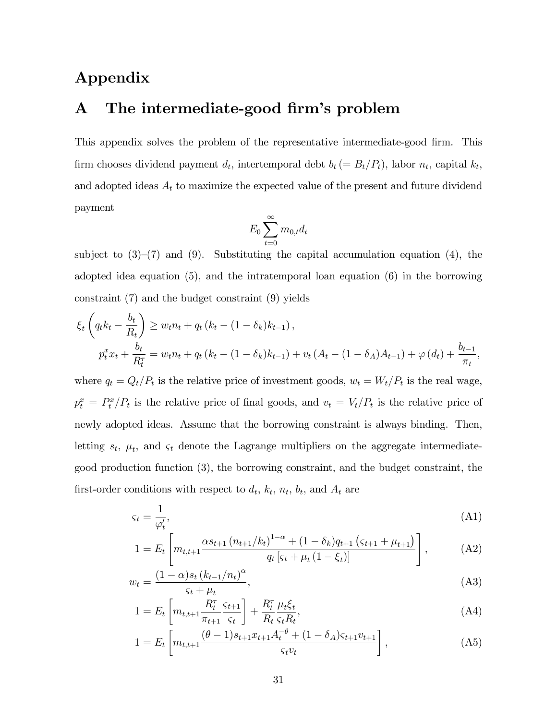# Appendix

# A The intermediate-good firm's problem

This appendix solves the problem of the representative intermediate-good firm. This firm chooses dividend payment  $d_t$ , intertemporal debt  $b_t (= B_t/P_t)$ , labor  $n_t$ , capital  $k_t$ , and adopted ideas  $A_t$  to maximize the expected value of the present and future dividend payment

$$
E_0 \sum_{t=0}^{\infty} m_{0,t} d_t
$$

subject to  $(3)-(7)$  and  $(9)$ . Substituting the capital accumulation equation (4), the adopted idea equation (5), and the intratemporal loan equation (6) in the borrowing constraint (7) and the budget constraint (9) yields

$$
\xi_t \left( q_t k_t - \frac{b_t}{R_t} \right) \ge w_t n_t + q_t \left( k_t - (1 - \delta_k) k_{t-1} \right),
$$
\n
$$
p_t^x x_t + \frac{b_t}{R_t^{\tau}} = w_t n_t + q_t \left( k_t - (1 - \delta_k) k_{t-1} \right) + v_t \left( A_t - (1 - \delta_A) A_{t-1} \right) + \varphi \left( d_t \right) + \frac{b_{t-1}}{\pi_t},
$$

where  $q_t = Q_t/P_t$  is the relative price of investment goods,  $w_t = W_t/P_t$  is the real wage,  $p_t^x = P_t^x/P_t$  is the relative price of final goods, and  $v_t = V_t/P_t$  is the relative price of newly adopted ideas. Assume that the borrowing constraint is always binding. Then, letting  $s_t$ ,  $\mu_t$ , and  $\varsigma_t$  denote the Lagrange multipliers on the aggregate intermediategood production function (3), the borrowing constraint, and the budget constraint, the first-order conditions with respect to  $d_t$ ,  $k_t$ ,  $n_t$ ,  $b_t$ , and  $A_t$  are

$$
\varsigma_t = \frac{1}{\varphi'_t},\tag{A1}
$$

$$
1 = E_t \left[ m_{t,t+1} \frac{\alpha s_{t+1} \left( n_{t+1}/k_t \right)^{1-\alpha} + (1-\delta_k) q_{t+1} \left( \varsigma_{t+1} + \mu_{t+1} \right)}{q_t \left[ \varsigma_t + \mu_t \left( 1 - \xi_t \right) \right]} \right], \tag{A2}
$$

$$
w_t = \frac{(1 - \alpha)s_t (k_{t-1}/n_t)^{\alpha}}{\varsigma_t + \mu_t},
$$
\n(A3)

$$
1 = E_t \left[ m_{t,t+1} \frac{R_t^{\tau}}{\pi_{t+1}} \frac{\varsigma_{t+1}}{\varsigma_t} \right] + \frac{R_t^{\tau}}{R_t} \frac{\mu_t \xi_t}{\varsigma_t R_t},
$$
\n(A4)

$$
1 = E_t \left[ m_{t,t+1} \frac{(\theta - 1)s_{t+1}x_{t+1}A_t^{-\theta} + (1 - \delta_A)s_{t+1}v_{t+1}}{s_t v_t} \right],
$$
 (A5)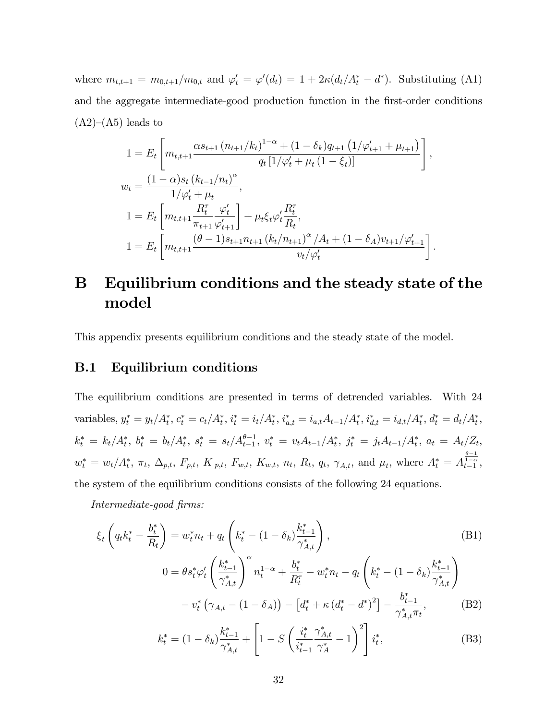where  $m_{t,t+1} = m_{0,t+1}/m_{0,t}$  and  $\varphi'_t = \varphi'(d_t) = 1 + 2\kappa(d_t/A_t^* - d^*)$ . Substituting (A1) and the aggregate intermediate-good production function in the first-order conditions  $(A2)–(A5)$  leads to

$$
1 = E_t \left[ m_{t,t+1} \frac{\alpha s_{t+1} (n_{t+1}/k_t)^{1-\alpha} + (1-\delta_k) q_{t+1} (1/\varphi'_{t+1} + \mu_{t+1})}{q_t [1/\varphi'_t + \mu_t (1-\xi_t)]} \right],
$$
  
\n
$$
w_t = \frac{(1-\alpha)s_t (k_{t-1}/n_t)^{\alpha}}{1/\varphi'_t + \mu_t},
$$
  
\n
$$
1 = E_t \left[ m_{t,t+1} \frac{R_t^{\tau}}{\pi_{t+1}} \frac{\varphi'_t}{\varphi'_{t+1}} \right] + \mu_t \xi_t \varphi'_t \frac{R_t^{\tau}}{R_t},
$$
  
\n
$$
1 = E_t \left[ m_{t,t+1} \frac{(\theta - 1)s_{t+1} n_{t+1} (k_t/n_{t+1})^{\alpha}/A_t + (1 - \delta_A) v_{t+1}/\varphi'_{t+1}}{v_t/\varphi'_t} \right].
$$

# B Equilibrium conditions and the steady state of the model

This appendix presents equilibrium conditions and the steady state of the model.

### B.1 Equilibrium conditions

The equilibrium conditions are presented in terms of detrended variables. With 24 variables,  $y_t^* = y_t/A_t^*$ ,  $c_t^* = c_t/A_t^*$ ,  $i_t^* = i_t/A_t^*$ ,  $i_{a,t}^* = i_{a,t}A_{t-1}/A_t^*$ ,  $i_{d,t}^* = i_{d,t}/A_t^*$ ,  $d_t^* = d_t/A_t^*$ ,  $k_t^* = k_t/A_t^*, \; b_t^* = b_t/A_t^*, \; s_t^* = s_t/A_{t-1}^{\theta-1}, \; v_t^* = v_t A_{t-1}/A_t^*, \; j_t^* = j_t A_{t-1}/A_t^*, \; a_t = A_t/Z_t,$  $w_t^* = w_t/A_t^*, \pi_t, \Delta_{p,t}, F_{p,t}, K_{p,t}, F_{w,t}, K_{w,t}, n_t, R_t, q_t, \gamma_{A,t}$ , and  $\mu_t$ , where  $A_t^* = A_{t-1}^{\frac{\theta-1}{1-\alpha}}$ , the system of the equilibrium conditions consists of the following 24 equations.

Intermediate-good firms:

$$
\xi_{t}\left(q_{t}k_{t}^{*}-\frac{b_{t}^{*}}{R_{t}}\right)=w_{t}^{*}n_{t}+q_{t}\left(k_{t}^{*}-(1-\delta_{k})\frac{k_{t-1}^{*}}{\gamma_{A,t}^{*}}\right),\tag{B1}
$$
\n
$$
0=\theta s_{t}^{*}\varphi_{t}'\left(\frac{k_{t-1}^{*}}{\gamma_{A,t}^{*}}\right)^{\alpha}n_{t}^{1-\alpha}+\frac{b_{t}^{*}}{R_{t}^{*}}-w_{t}^{*}n_{t}-q_{t}\left(k_{t}^{*}-(1-\delta_{k})\frac{k_{t-1}^{*}}{\gamma_{A,t}^{*}}\right)
$$
\n
$$
-v_{t}^{*}\left(\gamma_{A,t}-(1-\delta_{A})\right)-\left[d_{t}^{*}+\kappa\left(d_{t}^{*}-d^{*}\right)^{2}\right]-\frac{b_{t-1}^{*}}{\gamma_{A,t}^{*}\pi_{t}},\tag{B2}
$$
\n
$$
k^{*}-(1-\delta_{t})\frac{k_{t-1}^{*}}{\pi_{t}^{*}}+\left[1-\frac{S}{\pi}\left(\frac{i_{t}^{*}}{\pi_{A,t}^{*}}\frac{\gamma_{A,t}^{*}}{\pi_{A,t}}-1\right)^{2}\right]_{i^{*}}\tag{B3}
$$

$$
k_t^* = (1 - \delta_k) \frac{k_{t-1}^*}{\gamma_{A,t}^*} + \left[ 1 - S \left( \frac{i_t^*}{i_{t-1}^*} \frac{\gamma_{A,t}^*}{\gamma_A^*} - 1 \right)^2 \right] i_t^*,
$$
 (B3)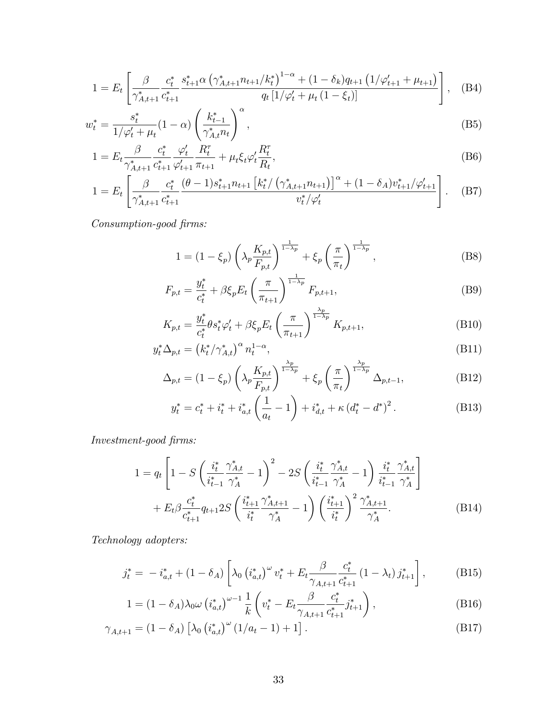$$
1 = E_t \left[ \frac{\beta}{\gamma_{A,t+1}^*} \frac{c_t^*}{c_{t+1}^*} \frac{s_{t+1}^* \alpha \left( \gamma_{A,t+1}^* n_{t+1} / k_t^* \right)^{1-\alpha} + (1 - \delta_k) q_{t+1} \left( 1 / \varphi_{t+1}' + \mu_{t+1} \right)}{q_t \left[ 1 / \varphi_t' + \mu_t \left( 1 - \xi_t \right) \right]} \right], \quad \text{(B4)}
$$

$$
w_t^* = \frac{s_t^*}{1/\varphi_t' + \mu_t} (1 - \alpha) \left(\frac{k_{t-1}^*}{\gamma_{A,t}^* n_t}\right)^{\alpha},\tag{B5}
$$

$$
1 = E_t \frac{\beta}{\gamma_{A,t+1}^*} \frac{c_t^*}{c_{t+1}^*} \frac{\varphi_t'}{\varphi_{t+1}'} \frac{R_t^{\tau}}{\pi_{t+1}} + \mu_t \xi_t \varphi_t' \frac{R_t^{\tau}}{R_t},
$$
(B6)

$$
1 = E_t \left[ \frac{\beta}{\gamma_{A,t+1}^*} \frac{c_t^*}{c_{t+1}^*} \frac{(\theta - 1)s_{t+1}^* n_{t+1} \left[ k_t^* / \left( \gamma_{A,t+1}^* n_{t+1} \right) \right]^\alpha + (1 - \delta_A) v_{t+1}^* / \varphi_{t+1}'}{v_t^* / \varphi_t'} \right].
$$
 (B7)

 $\emph{Consumption-good firms:}$ 

$$
1 = (1 - \xi_p) \left( \lambda_p \frac{K_{p,t}}{F_{p,t}} \right)^{\frac{1}{1 - \lambda_p}} + \xi_p \left( \frac{\pi}{\pi_t} \right)^{\frac{1}{1 - \lambda_p}},
$$
 (B8)

$$
F_{p,t} = \frac{y_t^*}{c_t^*} + \beta \xi_p E_t \left(\frac{\pi}{\pi_{t+1}}\right)^{\frac{1}{1-\lambda_p}} F_{p,t+1},\tag{B9}
$$

$$
K_{p,t} = \frac{y_t^*}{c_t^*} \theta s_t^* \varphi_t' + \beta \xi_p E_t \left(\frac{\pi}{\pi_{t+1}}\right)^{\frac{\lambda_p}{1-\lambda_p}} K_{p,t+1},
$$
\n(B10)

$$
y_t^* \Delta_{p,t} = \left(k_t^* / \gamma_{A,t}^*\right)^\alpha n_t^{1-\alpha}, \tag{B11}
$$

$$
\Delta_{p,t} = (1 - \xi_p) \left( \lambda_p \frac{K_{p,t}}{F_{p,t}} \right)^{\frac{\lambda_p}{1 - \lambda_p}} + \xi_p \left( \frac{\pi}{\pi_t} \right)^{\frac{\lambda_p}{1 - \lambda_p}} \Delta_{p,t-1},
$$
\n(B12)

$$
y_t^* = c_t^* + i_t^* + i_{a,t}^* \left(\frac{1}{a_t} - 1\right) + i_{d,t}^* + \kappa \left(d_t^* - d^*\right)^2. \tag{B13}
$$

 $Investment\emph{-}good\emph{ firms:}$ 

$$
1 = q_t \left[ 1 - S \left( \frac{i_t^*}{i_{t-1}^*} \frac{\gamma_{A,t}^*}{\gamma_A^*} - 1 \right)^2 - 2S \left( \frac{i_t^*}{i_{t-1}^*} \frac{\gamma_{A,t}^*}{\gamma_A^*} - 1 \right) \frac{i_t^*}{i_{t-1}^*} \frac{\gamma_{A,t}^*}{\gamma_A^*} \right] + E_t \beta \frac{c_t^*}{c_{t+1}^*} q_{t+1} 2S \left( \frac{i_{t+1}^*}{i_t^*} \frac{\gamma_{A,t+1}^*}{\gamma_A^*} - 1 \right) \left( \frac{i_{t+1}^*}{i_t^*} \right)^2 \frac{\gamma_{A,t+1}^*}{\gamma_A^*}. \tag{B14}
$$

Technology adopters:

$$
j_t^* = -i_{a,t}^* + (1 - \delta_A) \left[ \lambda_0 \left( i_{a,t}^* \right)^{\omega} v_t^* + E_t \frac{\beta}{\gamma_{A,t+1}} \frac{c_t^*}{c_{t+1}^*} (1 - \lambda_t) j_{t+1}^* \right], \tag{B15}
$$

$$
1 = (1 - \delta_A) \lambda_0 \omega \left( i_{a,t}^* \right)^{\omega - 1} \frac{1}{k} \left( v_t^* - E_t \frac{\beta}{\gamma_{A,t+1}} \frac{c_t^*}{c_{t+1}^*} j_{t+1}^* \right), \tag{B16}
$$

$$
\gamma_{A,t+1} = (1 - \delta_A) \left[ \lambda_0 \left( i_{a,t}^* \right)^{\omega} (1/a_t - 1) + 1 \right]. \tag{B17}
$$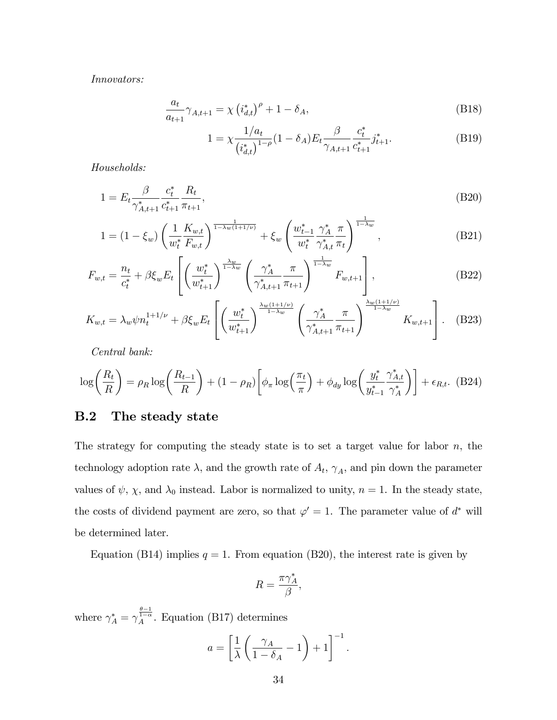Innovators:

$$
\frac{a_t}{a_{t+1}} \gamma_{A,t+1} = \chi \left( i_{d,t}^* \right)^{\rho} + 1 - \delta_A,
$$
\n(B18)

$$
1 = \chi \frac{1/a_t}{(i_{d,t}^*)^{1-\rho}} (1 - \delta_A) E_t \frac{\beta}{\gamma_{A,t+1}} \frac{c_t^*}{c_{t+1}^*} j_{t+1}^*.
$$
 (B19)

Households:

$$
1 = E_t \frac{\beta}{\gamma_{A,t+1}^*} \frac{c_t^*}{c_{t+1}^*} \frac{R_t}{\pi_{t+1}},
$$
\n(B20)

$$
1 = (1 - \xi_w) \left( \frac{1}{w_t^*} \frac{K_{w,t}}{F_{w,t}} \right)^{\frac{1}{1 - \lambda_w (1 + 1/\nu)}} + \xi_w \left( \frac{w_{t-1}^*}{w_t^*} \frac{\gamma_A^*}{\gamma_{A,t}^*} \frac{\pi}{\pi_t} \right)^{\frac{1}{1 - \lambda_w}}, \tag{B21}
$$

$$
F_{w,t} = \frac{n_t}{c_t^*} + \beta \xi_w E_t \left[ \left( \frac{w_t^*}{w_{t+1}^*} \right)^{\frac{\lambda_w}{1-\lambda_w}} \left( \frac{\gamma_A^*}{\gamma_{A,t+1}^*} \frac{\pi}{\pi_{t+1}} \right)^{\frac{1}{1-\lambda_w}} F_{w,t+1} \right],
$$
(B22)

$$
K_{w,t} = \lambda_w \psi n_t^{1+1/\nu} + \beta \xi_w E_t \left[ \left( \frac{w_t^*}{w_{t+1}^*} \right)^{\frac{\lambda_w (1+1/\nu)}{1-\lambda_w}} \left( \frac{\gamma_A^*}{\gamma_{A,t+1}^*} \frac{\pi}{\pi_{t+1}} \right)^{\frac{\lambda_w (1+1/\nu)}{1-\lambda_w}} K_{w,t+1} \right]. \tag{B23}
$$

Central bank:

$$
\log\left(\frac{R_t}{R}\right) = \rho_R \log\left(\frac{R_{t-1}}{R}\right) + (1 - \rho_R) \left[\phi_\pi \log\left(\frac{\pi_t}{\pi}\right) + \phi_{dy} \log\left(\frac{y_t^*}{y_{t-1}^*} \frac{\gamma_{A,t}^*}{\gamma_A^*}\right)\right] + \epsilon_{R,t}.
$$
 (B24)

### B.2 The steady state

The strategy for computing the steady state is to set a target value for labor  $n$ , the technology adoption rate  $\lambda$ , and the growth rate of  $A_t$ ,  $\gamma_A$ , and pin down the parameter values of  $\psi$ ,  $\chi$ , and  $\lambda_0$  instead. Labor is normalized to unity,  $n = 1$ . In the steady state, the costs of dividend payment are zero, so that  $\varphi' = 1$ . The parameter value of  $d^*$  will be determined later.

Equation (B14) implies  $q = 1$ . From equation (B20), the interest rate is given by

$$
R=\frac{\pi \gamma_A^*}{\beta},
$$

where  $\gamma_A^* = \gamma_A^{\frac{\theta-1}{1-\alpha}}$ . Equation (B17) determines

$$
a = \left[\frac{1}{\lambda} \left(\frac{\gamma_A}{1 - \delta_A} - 1\right) + 1\right]^{-1}.
$$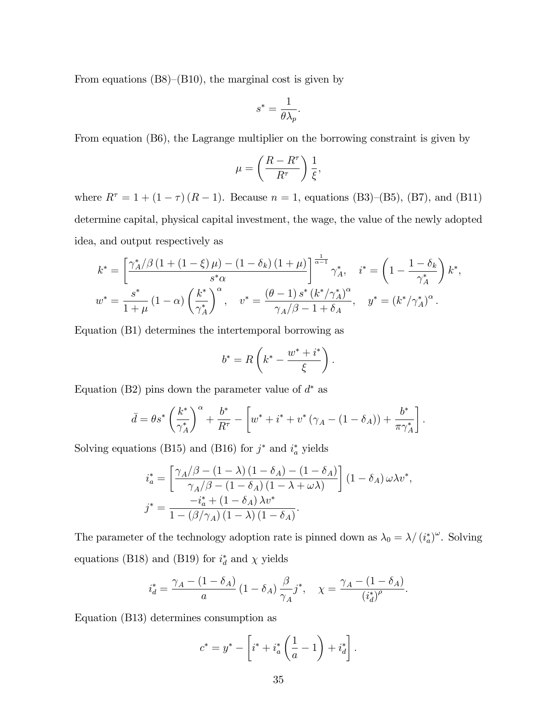From equations  $(B8)–(B10)$ , the marginal cost is given by

$$
s^* = \frac{1}{\theta \lambda_p}.
$$

From equation (B6), the Lagrange multiplier on the borrowing constraint is given by

$$
\mu = \left(\frac{R - R^{\tau}}{R^{\tau}}\right) \frac{1}{\xi},
$$

where  $R^{\tau} = 1 + (1 - \tau) (R - 1)$ . Because  $n = 1$ , equations (B3)–(B5), (B7), and (B11) determine capital, physical capital investment, the wage, the value of the newly adopted idea, and output respectively as

$$
k^* = \left[\frac{\gamma_A^*/\beta \left(1 + \left(1 - \xi\right)\mu\right) - \left(1 - \delta_k\right)\left(1 + \mu\right)}{s^*\alpha}\right]^{\frac{1}{\alpha - 1}} \gamma_A^*, \quad i^* = \left(1 - \frac{1 - \delta_k}{\gamma_A^*}\right) k^*,
$$
  

$$
w^* = \frac{s^*}{1 + \mu} \left(1 - \alpha\right) \left(\frac{k^*}{\gamma_A^*}\right)^\alpha, \quad v^* = \frac{(\theta - 1)s^*\left(k^*/\gamma_A^*\right)^\alpha}{\gamma_A/\beta - 1 + \delta_A}, \quad y^* = \left(k^*/\gamma_A^*\right)^\alpha.
$$

Equation (B1) determines the intertemporal borrowing as

$$
b^* = R\left(k^* - \frac{w^* + i^*}{\xi}\right).
$$

Equation (B2) pins down the parameter value of  $d^*$  as

$$
\bar{d} = \theta s^* \left(\frac{k^*}{\gamma_A^*}\right)^{\alpha} + \frac{b^*}{R^{\tau}} - \left[w^* + i^* + v^* \left(\gamma_A - (1 - \delta_A)\right) + \frac{b^*}{\pi \gamma_A^*}\right].
$$

Solving equations (B15) and (B16) for  $j^*$  and  $i_a^*$  yields

$$
\begin{aligned}\n i_a^* &= \left[ \frac{\gamma_A/\beta - (1 - \lambda) (1 - \delta_A) - (1 - \delta_A)}{\gamma_A/\beta - (1 - \delta_A) (1 - \lambda + \omega \lambda)} \right] (1 - \delta_A) \omega \lambda v^*, \\
j^* &= \frac{-i_a^* + (1 - \delta_A) \lambda v^*}{1 - (\beta/\gamma_A) (1 - \lambda) (1 - \delta_A)}.\n \end{aligned}
$$

The parameter of the technology adoption rate is pinned down as  $\lambda_0 = \lambda / (i_a^*)^{\omega}$ . Solving equations (B18) and (B19) for  $i_d^*$  and  $\chi$  yields

$$
i_d^* = \frac{\gamma_A - (1-\delta_A)}{a} \left(1-\delta_A\right) \frac{\beta}{\gamma_A} j^*, \quad \chi = \frac{\gamma_A - (1-\delta_A)}{\left(i_d^*\right)^{\rho}}.
$$

Equation (B13) determines consumption as

$$
c^* = y^* - \left[i^* + i_a^* \left(\frac{1}{a} - 1\right) + i_d^*\right].
$$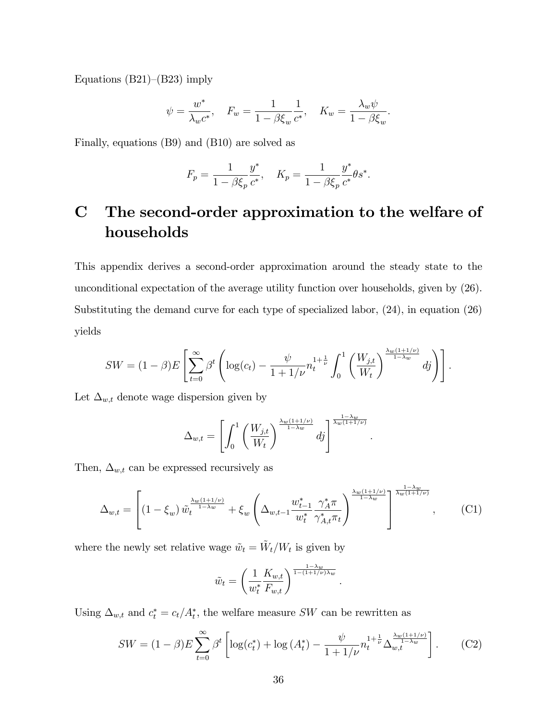Equations  $(B21)–(B23)$  imply

$$
\psi = \frac{w^*}{\lambda_w c^*}, \quad F_w = \frac{1}{1 - \beta \xi_w} \frac{1}{c^*}, \quad K_w = \frac{\lambda_w \psi}{1 - \beta \xi_w}.
$$

Finally, equations (B9) and (B10) are solved as

$$
F_p = \frac{1}{1 - \beta \xi_p} \frac{y^*}{c^*}, \quad K_p = \frac{1}{1 - \beta \xi_p} \frac{y^*}{c^*} \theta s^*.
$$

# C The second-order approximation to the welfare of households

This appendix derives a second-order approximation around the steady state to the unconditional expectation of the average utility function over households, given by (26). Substituting the demand curve for each type of specialized labor, (24), in equation (26) yields

$$
SW = (1 - \beta)E\left[\sum_{t=0}^{\infty} \beta^t \left(\log(c_t) - \frac{\psi}{1 + 1/\nu} n_t^{1 + \frac{1}{\nu}} \int_0^1 \left(\frac{W_{j,t}}{W_t}\right)^{\frac{\lambda_w(1 + 1/\nu)}{1 - \lambda_w}} df\right)\right].
$$

Let  $\Delta_{w,t}$  denote wage dispersion given by

$$
\Delta_{w,t} = \left[ \int_0^1 \left( \frac{W_{j,t}}{W_t} \right)^{\frac{\lambda_w(1+1/\nu)}{1-\lambda_w}} dy \right]^{\frac{1-\lambda_w}{\lambda_w(1+1/\nu)}}.
$$

Then,  $\Delta_{w,t}$  can be expressed recursively as

$$
\Delta_{w,t} = \left[ \left( 1 - \xi_w \right) \tilde{w}_t^{\frac{\lambda_w (1 + 1/\nu)}{1 - \lambda_w}} + \xi_w \left( \Delta_{w,t-1} \frac{w_{t-1}^*}{w_t^*} \frac{\gamma_A^* \pi}{\gamma_{A,t}^* \pi_t} \right)^{\frac{\lambda_w (1 + 1/\nu)}{1 - \lambda_w}} \right]^{\frac{1 - \lambda_w}{\lambda_w (1 + 1/\nu)}}, \quad (C1)
$$

where the newly set relative wage  $\tilde{w}_t = \tilde{W}_t / W_t$  is given by

$$
\tilde{w}_t = \left(\frac{1}{w_t^*} \frac{K_{w,t}}{F_{w,t}}\right)^{\frac{1-\lambda_w}{1-(1+1/\nu)\lambda_w}}
$$

Using  $\Delta_{w,t}$  and  $c_t^* = c_t/A_t^*$ , the welfare measure SW can be rewritten as

$$
SW = (1 - \beta)E \sum_{t=0}^{\infty} \beta^t \left[ \log(c_t^*) + \log(A_t^*) - \frac{\psi}{1 + 1/\nu} n_t^{1 + \frac{1}{\nu}} \Delta_{w,t}^{\frac{\lambda_w(1 + 1/\nu)}{1 - \lambda_w}} \right].
$$
 (C2)

: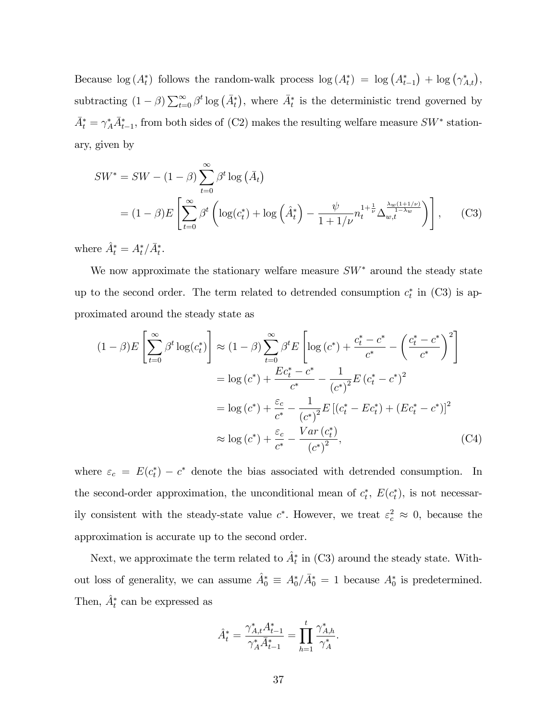Because  $\log(A_t^*)$  follows the random-walk process  $\log(A_t^*) = \log(A_{t-1}^*) + \log(\gamma_{A,t}^*)$ , subtracting  $(1 - \beta) \sum_{t=0}^{\infty} \beta^t \log(\bar{A}_t^*)$ , where  $\bar{A}_t^*$  is the deterministic trend governed by  $\bar{A}_t^* = \gamma_A^* \bar{A}_{t-1}^*$ , from both sides of (C2) makes the resulting welfare measure  $SW^*$  stationary, given by

$$
SW^* = SW - (1 - \beta) \sum_{t=0}^{\infty} \beta^t \log (\bar{A}_t)
$$
  
=  $(1 - \beta)E \left[ \sum_{t=0}^{\infty} \beta^t \left( \log(c_t^*) + \log \left( \hat{A}_t^* \right) - \frac{\psi}{1 + 1/\nu} n_t^{1 + \frac{1}{\nu}} \Delta_{w,t}^{\frac{\lambda_w(1 + 1/\nu)}{1 - \lambda_w}} \right) \right],$  (C3)

where  $\hat{A}^*_t = A^*_t / \bar{A}^*_t$ .

We now approximate the stationary welfare measure  $SW^*$  around the steady state up to the second order. The term related to detrended consumption  $c_t^*$  in (C3) is approximated around the steady state as

$$
(1 - \beta)E\left[\sum_{t=0}^{\infty} \beta^t \log(c_t^*)\right] \approx (1 - \beta)\sum_{t=0}^{\infty} \beta^t E\left[\log\left(c^*\right) + \frac{c_t^* - c^*}{c^*} - \left(\frac{c_t^* - c^*}{c^*}\right)^2\right]
$$
  

$$
= \log\left(c^*\right) + \frac{Ec_t^* - c^*}{c^*} - \frac{1}{\left(c^*\right)^2}E\left(c_t^* - c^*\right)^2
$$
  

$$
= \log\left(c^*\right) + \frac{\varepsilon_c}{c^*} - \frac{1}{\left(c^*\right)^2}E\left[\left(c_t^* - Ec_t^*\right) + \left(Ec_t^* - c^*\right)\right]^2
$$
  

$$
\approx \log\left(c^*\right) + \frac{\varepsilon_c}{c^*} - \frac{Var\left(c_t^*\right)}{\left(c^*\right)^2},\tag{C4}
$$

where  $\varepsilon_c = E(c_t^*) - c^*$  denote the bias associated with detrended consumption. In the second-order approximation, the unconditional mean of  $c_t^*$ ,  $E(c_t^*)$ , is not necessarily consistent with the steady-state value  $c^*$ . However, we treat  $\varepsilon_c^2 \approx 0$ , because the approximation is accurate up to the second order.

Next, we approximate the term related to  $\hat{A}^*$  in (C3) around the steady state. Without loss of generality, we can assume  $\hat{A}_0^* \equiv A_0^*/\bar{A}_0^* = 1$  because  $A_0^*$  is predetermined. Then,  $\hat{A}_t^*$  can be expressed as

$$
\hat{A}_t^* = \frac{\gamma^*_{A,t} A_{t-1}^*}{\gamma^*_A \bar{A}_{t-1}^*} = \prod_{h=1}^t \frac{\gamma^*_{A,h}}{\gamma^*_A}.
$$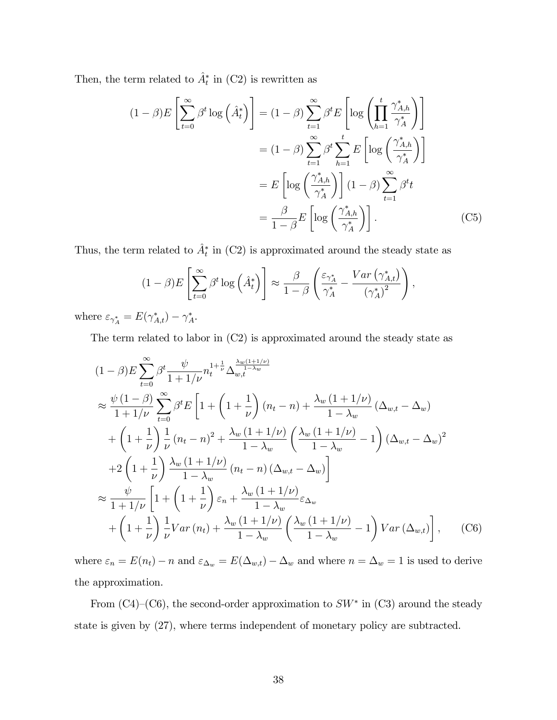Then, the term related to  $\hat{A}^*$  in (C2) is rewritten as

$$
(1 - \beta)E\left[\sum_{t=0}^{\infty} \beta^t \log\left(\hat{A}_t^*\right)\right] = (1 - \beta)\sum_{t=1}^{\infty} \beta^t E\left[\log\left(\prod_{h=1}^t \frac{\gamma_{A,h}^*}{\gamma_A^*}\right)\right]
$$

$$
= (1 - \beta)\sum_{t=1}^{\infty} \beta^t \sum_{h=1}^t E\left[\log\left(\frac{\gamma_{A,h}^*}{\gamma_A^*}\right)\right]
$$

$$
= E\left[\log\left(\frac{\gamma_{A,h}^*}{\gamma_A^*}\right)\right](1 - \beta)\sum_{t=1}^{\infty} \beta^t t
$$

$$
= \frac{\beta}{1 - \beta} E\left[\log\left(\frac{\gamma_{A,h}^*}{\gamma_A^*}\right)\right].
$$
(C5)

Thus, the term related to  $\hat{A}^*$  in (C2) is approximated around the steady state as

$$
(1 - \beta)E\left[\sum_{t=0}^{\infty} \beta^t \log\left(\hat{A}_t^*\right)\right] \approx \frac{\beta}{1 - \beta} \left(\frac{\varepsilon_{\gamma_A^*}}{\gamma_A^*} - \frac{Var\left(\gamma_{A,t}^*\right)}{\left(\gamma_A^*\right)^2}\right),
$$

where  $\varepsilon_{\gamma_A^*} = E(\gamma_{A,t}^*) - \gamma_A^*$ .

The term related to labor in (C2) is approximated around the steady state as

$$
(1 - \beta) E \sum_{t=0}^{\infty} \beta^{t} \frac{\psi}{1 + 1/\nu} n_{t}^{1 + \frac{1}{\nu}} \Delta_{w,t}^{\frac{\lambda_{w}(1 + 1/\nu)}{1 - \lambda_{w}}}
$$
  
\n
$$
\approx \frac{\psi (1 - \beta)}{1 + 1/\nu} \sum_{t=0}^{\infty} \beta^{t} E \left[ 1 + \left( 1 + \frac{1}{\nu} \right) (n_{t} - n) + \frac{\lambda_{w} (1 + 1/\nu)}{1 - \lambda_{w}} \left( \Delta_{w,t} - \Delta_{w} \right) \right.
$$
  
\n
$$
+ \left( 1 + \frac{1}{\nu} \right) \frac{1}{\nu} (n_{t} - n)^{2} + \frac{\lambda_{w} (1 + 1/\nu)}{1 - \lambda_{w}} \left( \frac{\lambda_{w} (1 + 1/\nu)}{1 - \lambda_{w}} - 1 \right) \left( \Delta_{w,t} - \Delta_{w} \right)^{2}
$$
  
\n
$$
+ 2 \left( 1 + \frac{1}{\nu} \right) \frac{\lambda_{w} (1 + 1/\nu)}{1 - \lambda_{w}} (n_{t} - n) \left( \Delta_{w,t} - \Delta_{w} \right)
$$
  
\n
$$
\approx \frac{\psi}{1 + 1/\nu} \left[ 1 + \left( 1 + \frac{1}{\nu} \right) \varepsilon_{n} + \frac{\lambda_{w} (1 + 1/\nu)}{1 - \lambda_{w}} \varepsilon_{\Delta_{w}} + \left( 1 + \frac{1}{\nu} \right) \frac{1}{\nu} Var(n_{t}) + \frac{\lambda_{w} (1 + 1/\nu)}{1 - \lambda_{w}} \left( \frac{\lambda_{w} (1 + 1/\nu)}{1 - \lambda_{w}} - 1 \right) Var(\Delta_{w,t}) \right], \quad (C6)
$$

where  $\varepsilon_n = E(n_t) - n$  and  $\varepsilon_{\Delta_w} = E(\Delta_{w,t}) - \Delta_w$  and where  $n = \Delta_w = 1$  is used to derive the approximation.

From  $(C4)$ – $(C6)$ , the second-order approximation to  $SW^*$  in  $(C3)$  around the steady state is given by (27), where terms independent of monetary policy are subtracted.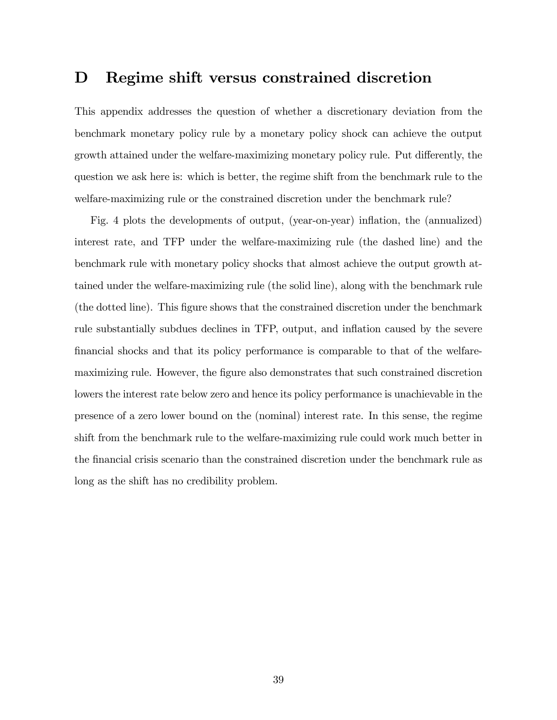### D Regime shift versus constrained discretion

This appendix addresses the question of whether a discretionary deviation from the benchmark monetary policy rule by a monetary policy shock can achieve the output growth attained under the welfare-maximizing monetary policy rule. Put differently, the question we ask here is: which is better, the regime shift from the benchmark rule to the welfare-maximizing rule or the constrained discretion under the benchmark rule?

Fig. 4 plots the developments of output, (year-on-year) ináation, the (annualized) interest rate, and TFP under the welfare-maximizing rule (the dashed line) and the benchmark rule with monetary policy shocks that almost achieve the output growth attained under the welfare-maximizing rule (the solid line), along with the benchmark rule (the dotted line). This Ögure shows that the constrained discretion under the benchmark rule substantially subdues declines in TFP, output, and inflation caused by the severe Önancial shocks and that its policy performance is comparable to that of the welfaremaximizing rule. However, the figure also demonstrates that such constrained discretion lowers the interest rate below zero and hence its policy performance is unachievable in the presence of a zero lower bound on the (nominal) interest rate. In this sense, the regime shift from the benchmark rule to the welfare-maximizing rule could work much better in the financial crisis scenario than the constrained discretion under the benchmark rule as long as the shift has no credibility problem.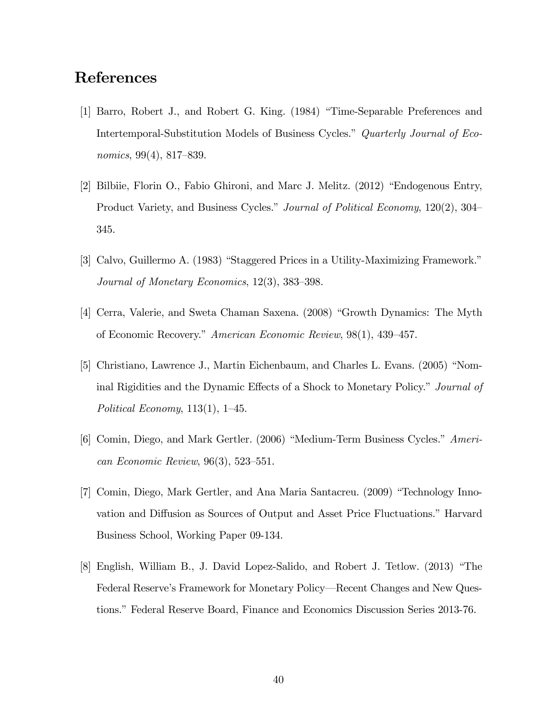## References

- [1] Barro, Robert J., and Robert G. King. (1984) "Time-Separable Preferences and Intertemporal-Substitution Models of Business Cycles." Quarterly Journal of Economics,  $99(4)$ ,  $817-839$ .
- $[2]$  Bilbiie, Florin O., Fabio Ghironi, and Marc J. Melitz.  $(2012)$  "Endogenous Entry, Product Variety, and Business Cycles." Journal of Political Economy, 120(2), 304 345.
- [3] Calvo, Guillermo A.  $(1983)$  "Staggered Prices in a Utility-Maximizing Framework." Journal of Monetary Economics,  $12(3)$ ,  $383-398$ .
- [4] Cerra, Valerie, and Sweta Chaman Saxena. (2008) "Growth Dynamics: The Myth of Economic Recovery." American Economic Review, 98(1), 439-457.
- [5] Christiano, Lawrence J., Martin Eichenbaum, and Charles L. Evans. (2005) "Nominal Rigidities and the Dynamic Effects of a Shock to Monetary Policy." Journal of Political Economy,  $113(1)$ ,  $1-45$ .
- [6] Comin, Diego, and Mark Gertler.  $(2006)$  "Medium-Term Business Cycles." American Economic Review,  $96(3)$ , 523–551.
- [7] Comin, Diego, Mark Gertler, and Ana Maria Santacreu. (2009) "Technology Innovation and Diffusion as Sources of Output and Asset Price Fluctuations." Harvard Business School, Working Paper 09-134.
- [8] English, William B., J. David Lopez-Salido, and Robert J. Tetlow. (2013) "The Federal Reserve's Framework for Monetary Policy—Recent Changes and New Questions." Federal Reserve Board, Finance and Economics Discussion Series 2013-76.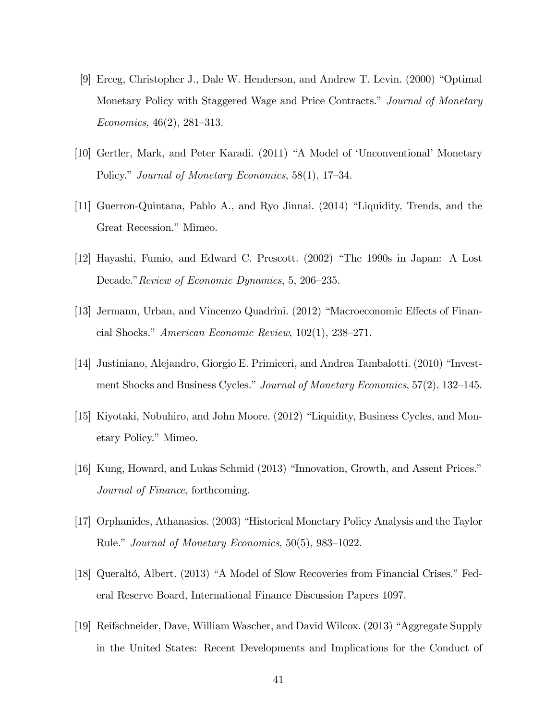- [9] Erceg, Christopher J., Dale W. Henderson, and Andrew T. Levin.  $(2000)$  "Optimal" Monetary Policy with Staggered Wage and Price Contracts." Journal of Monetary Economics,  $46(2)$ ,  $281-313$ .
- [10] Gertler, Mark, and Peter Karadi. (2011) "A Model of 'Unconventional' Monetary Policy." Journal of Monetary Economics,  $58(1)$ , 17–34.
- [11] Guerron-Quintana, Pablo A., and Ryo Jinnai.  $(2014)$  "Liquidity, Trends, and the Great Recession." Mimeo.
- [12] Hayashi, Fumio, and Edward C. Prescott.  $(2002)$  "The 1990s in Japan: A Lost Decade." Review of Economic Dynamics, 5, 206–235.
- [13] Jermann, Urban, and Vincenzo Quadrini. (2012) "Macroeconomic Effects of Financial Shocks." American Economic Review,  $102(1)$ ,  $238-271$ .
- [14] Justiniano, Alejandro, Giorgio E. Primiceri, and Andrea Tambalotti. (2010) "Investment Shocks and Business Cycles." Journal of Monetary Economics,  $57(2)$ ,  $132-145$ .
- [15] Kiyotaki, Nobuhiro, and John Moore. (2012) "Liquidity, Business Cycles, and Monetary Policy." Mimeo.
- [16] Kung, Howard, and Lukas Schmid (2013) "Innovation, Growth, and Assent Prices." Journal of Finance, forthcoming.
- [17] Orphanides, Athanasios. (2003) "Historical Monetary Policy Analysis and the Taylor Rule." Journal of Monetary Economics,  $50(5)$ , 983–1022.
- [18] Queraltó, Albert. (2013) "A Model of Slow Recoveries from Financial Crises." Federal Reserve Board, International Finance Discussion Papers 1097.
- [19] Reifschneider, Dave, William Wascher, and David Wilcox. (2013) "Aggregate Supply in the United States: Recent Developments and Implications for the Conduct of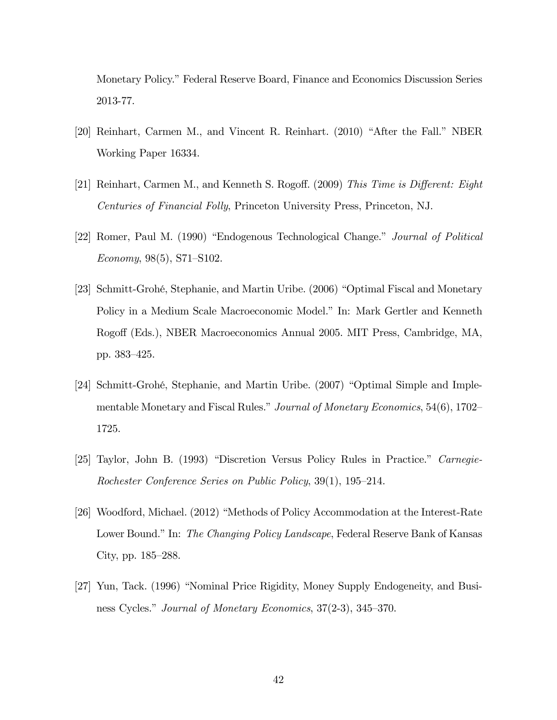Monetary Policy." Federal Reserve Board, Finance and Economics Discussion Series 2013-77.

- $[20]$  Reinhart, Carmen M., and Vincent R. Reinhart.  $(2010)$  "After the Fall." NBER Working Paper 16334.
- [21] Reinhart, Carmen M., and Kenneth S. Rogoff. (2009) This Time is Different: Eight Centuries of Financial Folly, Princeton University Press, Princeton, NJ.
- [22] Romer, Paul M. (1990) "Endogenous Technological Change." Journal of Political Economy,  $98(5)$ , S71–S102.
- [23] Schmitt-Grohé, Stephanie, and Martin Uribe. (2006) "Optimal Fiscal and Monetary Policy in a Medium Scale Macroeconomic Model." In: Mark Gertler and Kenneth Rogo§ (Eds.), NBER Macroeconomics Annual 2005. MIT Press, Cambridge, MA, pp. 383-425.
- [24] Schmitt-Grohé, Stephanie, and Martin Uribe. (2007) "Optimal Simple and Implementable Monetary and Fiscal Rules." Journal of Monetary Economics,  $54(6)$ ,  $1702-$ 1725.
- [25] Taylor, John B. (1993) "Discretion Versus Policy Rules in Practice." Carnegie-Rochester Conference Series on Public Policy,  $39(1)$ ,  $195-214$ .
- [26] Woodford, Michael.  $(2012)$  "Methods of Policy Accommodation at the Interest-Rate Lower Bound." In: The Changing Policy Landscape, Federal Reserve Bank of Kansas City, pp.  $185-288$ .
- [27] Yun, Tack. (1996) "Nominal Price Rigidity, Money Supply Endogeneity, and Business Cycles." Journal of Monetary Economics, 37(2-3), 345–370.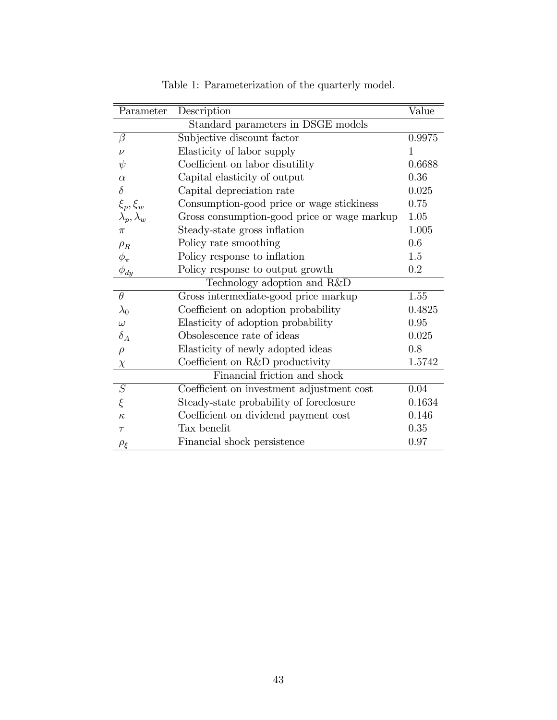| Parameter                          | Description                                 | Value  |  |  |  |  |  |  |
|------------------------------------|---------------------------------------------|--------|--|--|--|--|--|--|
| Standard parameters in DSGE models |                                             |        |  |  |  |  |  |  |
| $\beta$                            | Subjective discount factor                  |        |  |  |  |  |  |  |
| $\nu$                              | Elasticity of labor supply                  | 1      |  |  |  |  |  |  |
| $\psi$                             | Coefficient on labor disutility             | 0.6688 |  |  |  |  |  |  |
| $\alpha$                           | Capital elasticity of output                | 0.36   |  |  |  |  |  |  |
| $\delta$                           | Capital depreciation rate                   | 0.025  |  |  |  |  |  |  |
| $\xi_p, \xi_w$                     | Consumption-good price or wage stickiness   | 0.75   |  |  |  |  |  |  |
| $\lambda_p, \lambda_w$             | Gross consumption-good price or wage markup | 1.05   |  |  |  |  |  |  |
| $\pi$                              | Steady-state gross inflation                | 1.005  |  |  |  |  |  |  |
| $\rho_R$                           | Policy rate smoothing                       | 0.6    |  |  |  |  |  |  |
| $\phi_{\pi}$                       | Policy response to inflation                | 1.5    |  |  |  |  |  |  |
| $\phi_{\underline{dy}}$            | Policy response to output growth            | 0.2    |  |  |  |  |  |  |
| Technology adoption and R&D        |                                             |        |  |  |  |  |  |  |
| $\theta$                           | Gross intermediate-good price markup        | 1.55   |  |  |  |  |  |  |
| $\lambda_0$                        | Coefficient on adoption probability         | 0.4825 |  |  |  |  |  |  |
| $\omega$                           | Elasticity of adoption probability          | 0.95   |  |  |  |  |  |  |
| $\delta_A$                         | Obsolescence rate of ideas                  | 0.025  |  |  |  |  |  |  |
| $\rho$                             | Elasticity of newly adopted ideas           | 0.8    |  |  |  |  |  |  |
| $\chi$                             | Coefficient on R&D productivity             | 1.5742 |  |  |  |  |  |  |
| Financial friction and shock       |                                             |        |  |  |  |  |  |  |
| $\cal S$                           | Coefficient on investment adjustment cost   | 0.04   |  |  |  |  |  |  |
| $\xi$                              | Steady-state probability of foreclosure     | 0.1634 |  |  |  |  |  |  |
| $\kappa$                           | Coefficient on dividend payment cost        | 0.146  |  |  |  |  |  |  |
| $\tau$                             | Tax benefit                                 | 0.35   |  |  |  |  |  |  |
| $\rho_{\varepsilon}$               | Financial shock persistence                 | 0.97   |  |  |  |  |  |  |

Table 1: Parameterization of the quarterly model.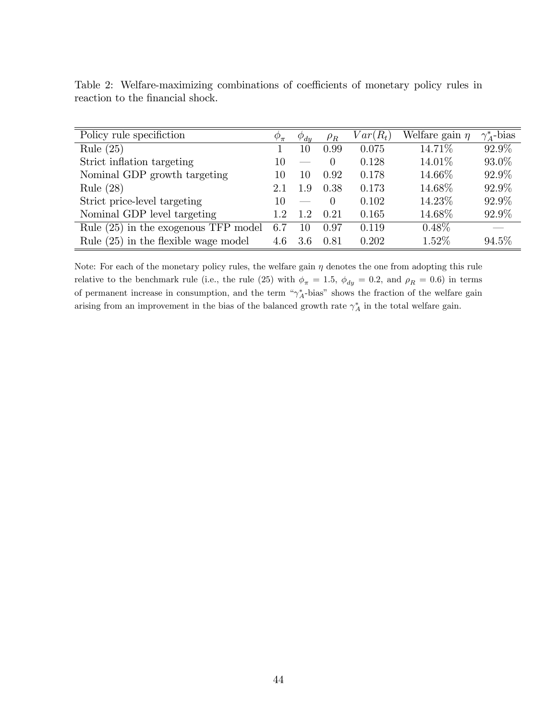| Policy rule specifiction               |     | $\varphi_{du}$           | $\rho_R$ | $Var(R_t)$ | Welfare gain $\eta$ | $\gamma_A^*$ -bias |
|----------------------------------------|-----|--------------------------|----------|------------|---------------------|--------------------|
| Rule $(25)$                            |     | 10                       | 0.99     | 0.075      | 14.71\%             | 92.9%              |
| Strict inflation targeting             |     | $\sim$                   | $\Omega$ | 0.128      | 14.01\%             | 93.0%              |
| Nominal GDP growth targeting           |     | 10                       | 0.92     | 0.178      | 14.66\%             | 92.9%              |
| Rule $(28)$                            | 2.1 | 1.9                      | 0.38     | 0.173      | 14.68%              | 92.9%              |
| Strict price-level targeting           |     | $\overline{\phantom{a}}$ | $\Omega$ | 0.102      | 14.23\%             | 92.9%              |
| Nominal GDP level targeting            |     | 1.2                      | 0.21     | 0.165      | 14.68%              | 92.9%              |
| Rule (25) in the exogenous TFP model   |     | 10                       | 0.97     | 0.119      | $0.48\%$            |                    |
| Rule $(25)$ in the flexible wage model |     | 3.6                      | 0.81     | 0.202      | 1.52%               | 94.5%              |

Table 2: Welfare-maximizing combinations of coefficients of monetary policy rules in reaction to the financial shock.

Note: For each of the monetary policy rules, the welfare gain  $\eta$  denotes the one from adopting this rule relative to the benchmark rule (i.e., the rule (25) with  $\phi_{\pi} = 1.5$ ,  $\phi_{dy} = 0.2$ , and  $\rho_R = 0.6$ ) in terms of permanent increase in consumption, and the term  $\gamma_A^*$ -bias" shows the fraction of the welfare gain arising from an improvement in the bias of the balanced growth rate  $\gamma_A^*$  in the total welfare gain.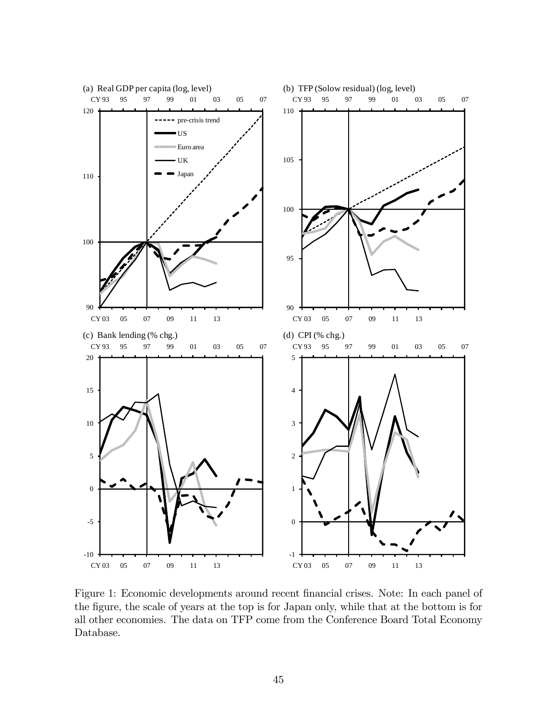

Figure 1: Economic developments around recent financial crises. Note: In each panel of the figure, the scale of years at the top is for Japan only, while that at the bottom is for all other economies. The data on TFP come from the Conference Board Total Economy Database.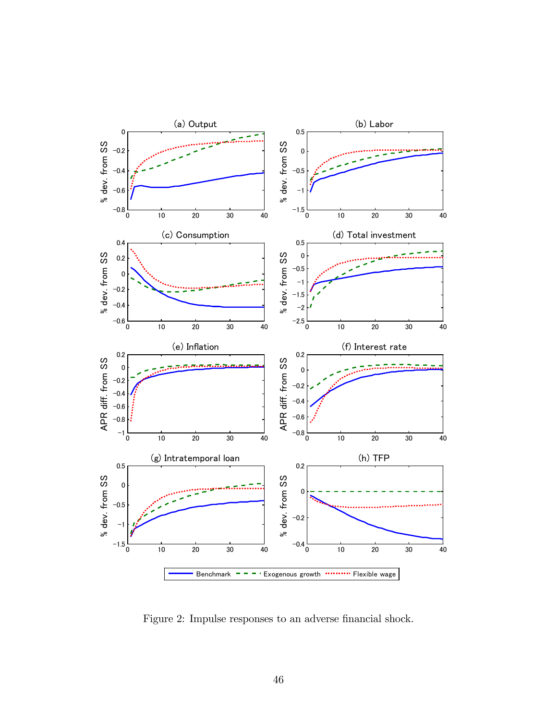

Figure 2: Impulse responses to an adverse financial shock.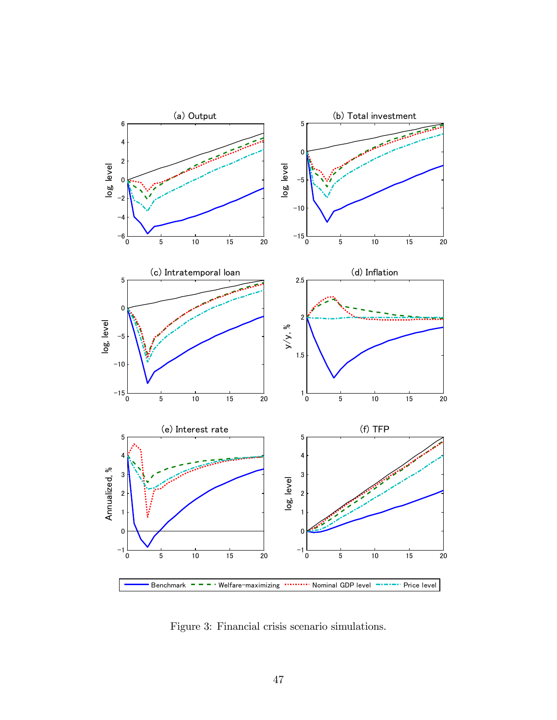

Figure 3: Financial crisis scenario simulations.